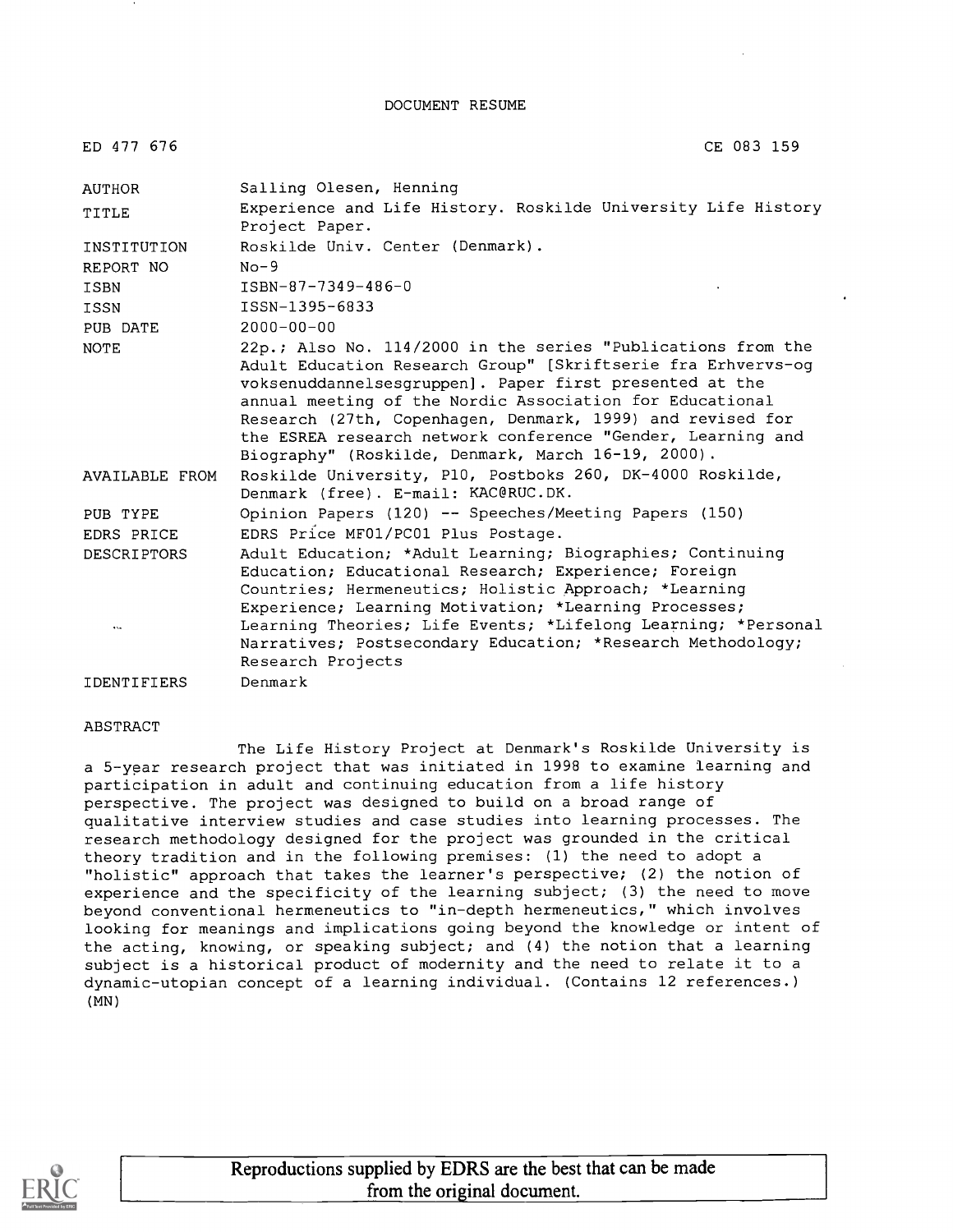DOCUMENT RESUME

| ED 477 676                      | CE 083 159                                                                                                                                                                                                                                                                                                                                                                                                                             |
|---------------------------------|----------------------------------------------------------------------------------------------------------------------------------------------------------------------------------------------------------------------------------------------------------------------------------------------------------------------------------------------------------------------------------------------------------------------------------------|
| <b>AUTHOR</b>                   | Salling Olesen, Henning                                                                                                                                                                                                                                                                                                                                                                                                                |
| TITLE                           | Experience and Life History. Roskilde University Life History<br>Project Paper.                                                                                                                                                                                                                                                                                                                                                        |
| INSTITUTION                     | Roskilde Univ. Center (Denmark).                                                                                                                                                                                                                                                                                                                                                                                                       |
| REPORT NO                       | $No-9$                                                                                                                                                                                                                                                                                                                                                                                                                                 |
| <b>ISBN</b>                     | TSBN-87-7349-486-0                                                                                                                                                                                                                                                                                                                                                                                                                     |
| <b>ISSN</b>                     | ISSN-1395-6833                                                                                                                                                                                                                                                                                                                                                                                                                         |
| PUB DATE                        | $2000 - 00 - 00$                                                                                                                                                                                                                                                                                                                                                                                                                       |
| <b>NOTE</b>                     | 22p.; Also No. 114/2000 in the series "Publications from the<br>Adult Education Research Group" [Skriftserie fra Erhvervs-og<br>voksenuddannelsesgruppen]. Paper first presented at the<br>annual meeting of the Nordic Association for Educational<br>Research (27th, Copenhagen, Denmark, 1999) and revised for<br>the ESREA research network conference "Gender, Learning and<br>Biography" (Roskilde, Denmark, March 16-19, 2000). |
| AVAILABLE FROM                  | Roskilde University, P10, Postboks 260, DK-4000 Roskilde,<br>Denmark (free). E-mail: KAC@RUC.DK.                                                                                                                                                                                                                                                                                                                                       |
| PUB TYPE                        | Opinion Papers (120) -- Speeches/Meeting Papers (150)                                                                                                                                                                                                                                                                                                                                                                                  |
| EDRS PRICE                      | EDRS Price MF01/PC01 Plus Postage.                                                                                                                                                                                                                                                                                                                                                                                                     |
| <b>DESCRIPTORS</b><br>$\ddotsc$ | Adult Education; *Adult Learning; Biographies; Continuing<br>Education; Educational Research; Experience; Foreign<br>Countries; Hermeneutics; Holistic Approach; *Learning<br>Experience; Learning Motivation; *Learning Processes;<br>Learning Theories; Life Events; *Lifelong Learning; *Personal<br>Narratives; Postsecondary Education; *Research Methodology;<br>Research Projects                                               |
| <b>IDENTIFIERS</b>              | Denmark                                                                                                                                                                                                                                                                                                                                                                                                                                |

#### ABSTRACT

The Life History Project at Denmark's Roskilde University is a 5-year research project that was initiated in 1998 to examine learning and participation in adult and continuing education from a life history perspective. The project was designed to build on a broad range of qualitative interview studies and case studies into learning processes. The research methodology designed for the project was grounded in the critical theory tradition and in the following premises: (1) the need to adopt a "holistic" approach that takes the learner's perspective; (2) the notion of experience and the specificity of the learning subject; (3) the need to move beyond conventional hermeneutics to "in-depth hermeneutics," which involves looking for meanings and implications going beyond the knowledge or intent of the acting, knowing, or speaking subject; and (4) the notion that a learning subject is a historical product of modernity and the need to relate it to a dynamic-utopian concept of a learning individual. (Contains 12 references.) (MN)



Reproductions supplied by EDRS are the best that can be made from the original document.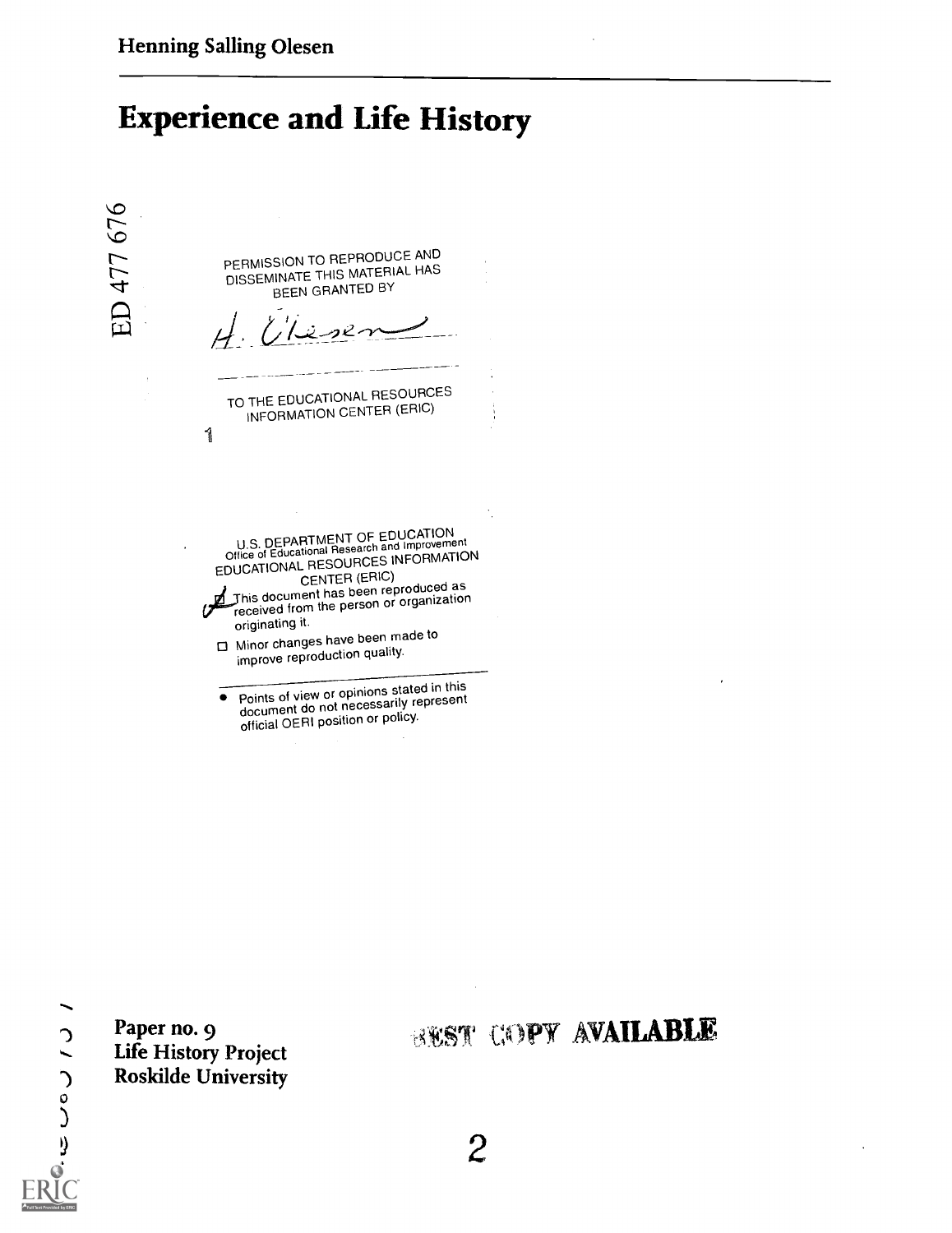# Experience and Life History



document do not necessarily represent official OERI position or policy.

Paper no. 9

# **BEST COPY AVAILABLE**

Life History Project

Roskilde University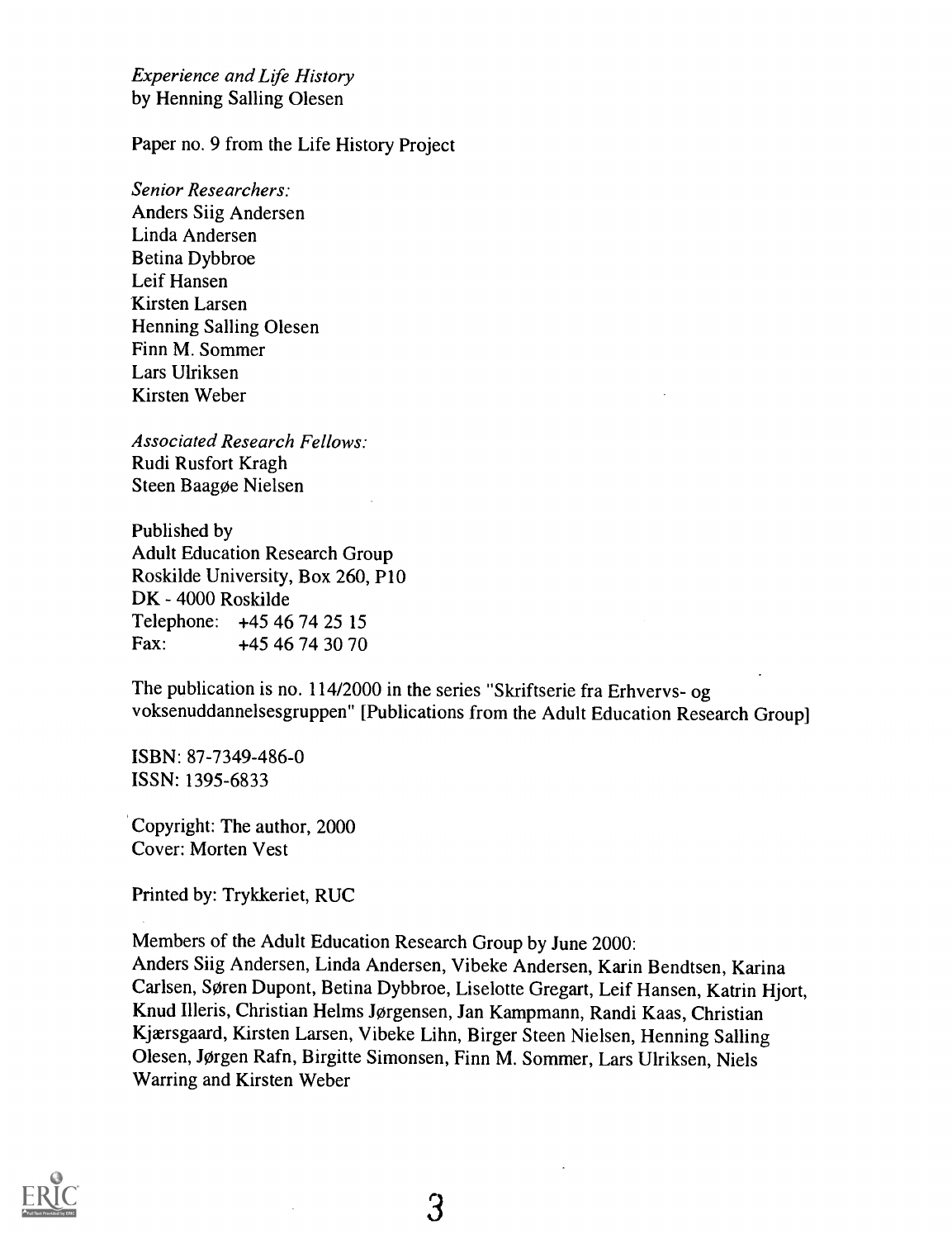Experience and Life History by Henning Salling Olesen

Paper no. 9 from the Life History Project

Senior Researchers: Anders Siig Andersen Linda Andersen Betina Dybbroe Leif Hansen Kirsten Larsen Henning Salling Olesen Finn M. Sommer Lars Ulriksen Kirsten Weber

Associated Research Fellows: Rudi Rusfort Kragh Steen Baagoe Nielsen

Published by Adult Education Research Group Roskilde University, Box 260, P10 DK - 4000 Roskilde Telephone: +45 46 74 25 15<br>Fax: +45 46 74 30 70 +45 46 74 30 70

The publication is no. 114/2000 in the series "Skriftserie fra Erhvervs- og voksenuddannelsesgruppen" [Publications from the Adult Education Research Group]

ISBN: 87-7349-486-0 ISSN: 1395-6833

Copyright: The author, 2000 Cover: Morten Vest

Printed by: Trykkeriet, RUC

Members of the Adult Education Research Group by June 2000: Anders Siig Andersen, Linda Andersen, Vibeke Andersen, Karin Bendtsen, Karina Carlsen, Søren Dupont, Betina Dybbroe, Liselotte Gregart, Leif Hansen, Katrin Hjort, Knud Illeris, Christian Helms Jorgensen, Jan Kampmann, Randi Kaas, Christian Kjærsgaard, Kirsten Larsen, Vibeke Lihn, Birger Steen Nielsen, Henning Salling Olesen, Jorgen Rafn, Birgitte Simonsen, Finn M. Sommer, Lars Ulriksen, Niels Warring and Kirsten Weber



3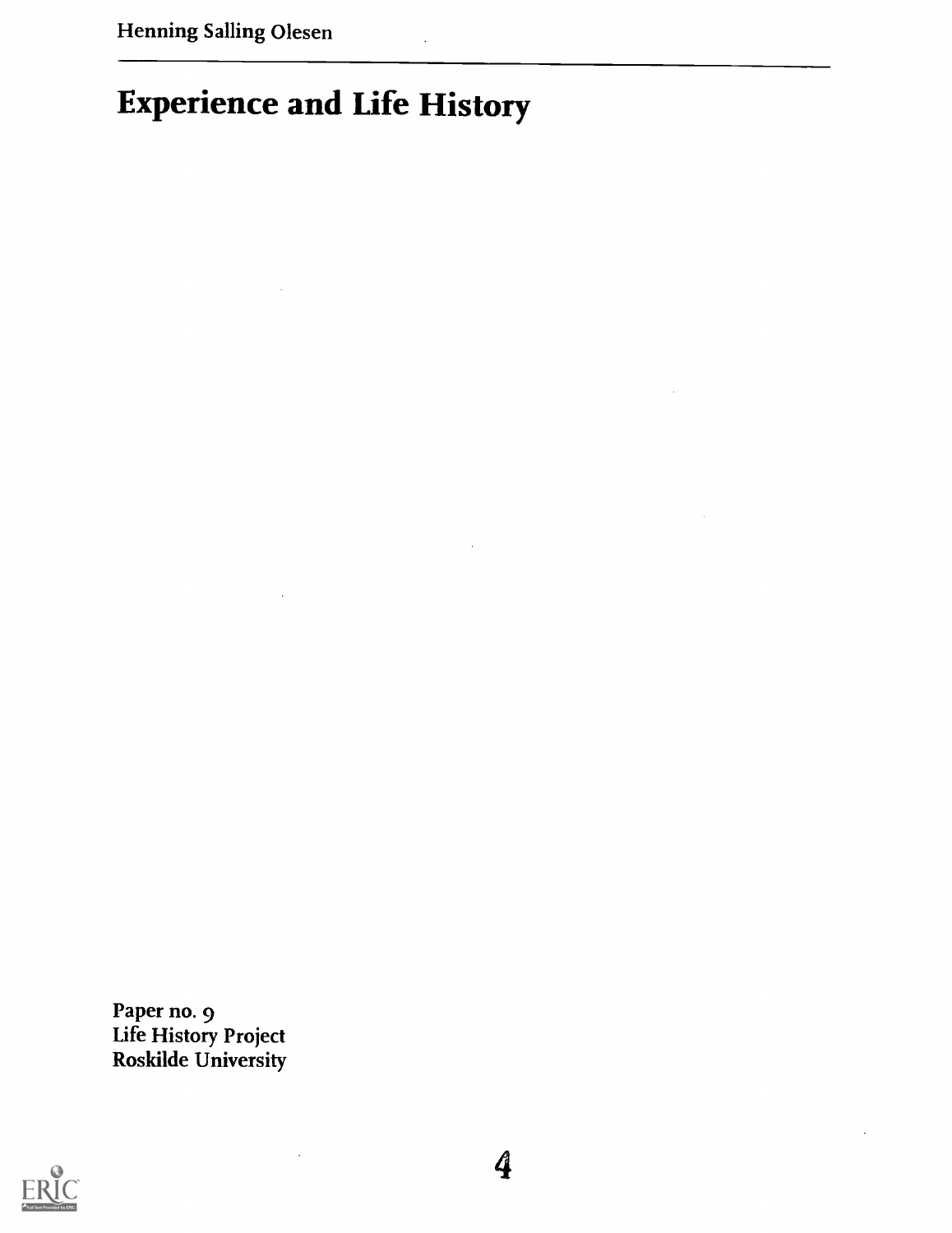# Experience and Life History

Paper no. 9 Life History Project Roskilde University

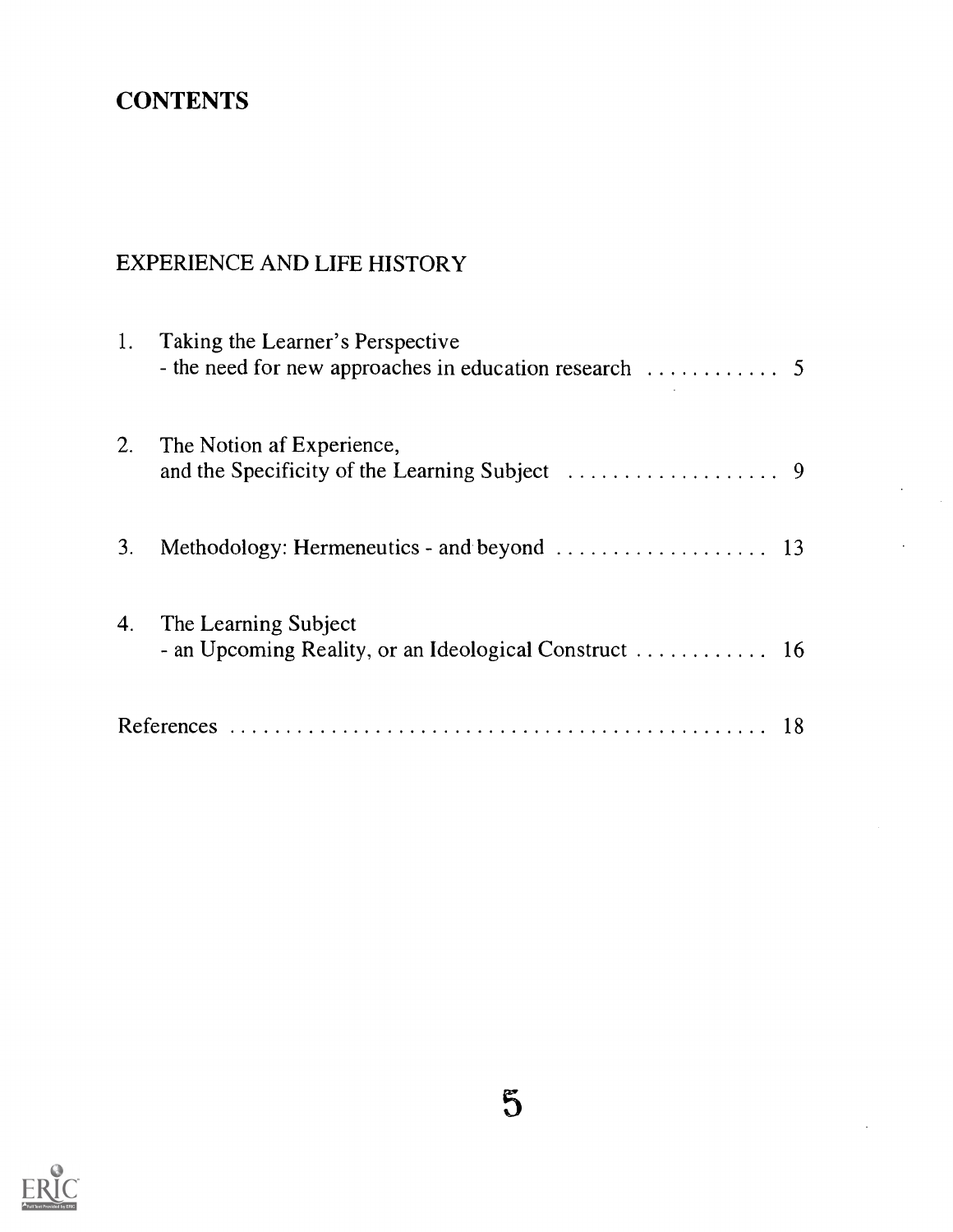## **CONTENTS**

### EXPERIENCE AND LIFE HISTORY

| 1. | Taking the Learner's Perspective<br>- the need for new approaches in education research $\dots\dots\dots\dots$ 5 |  |
|----|------------------------------------------------------------------------------------------------------------------|--|
| 2. | The Notion af Experience,                                                                                        |  |
| 3. |                                                                                                                  |  |
| 4. | The Learning Subject                                                                                             |  |
|    |                                                                                                                  |  |

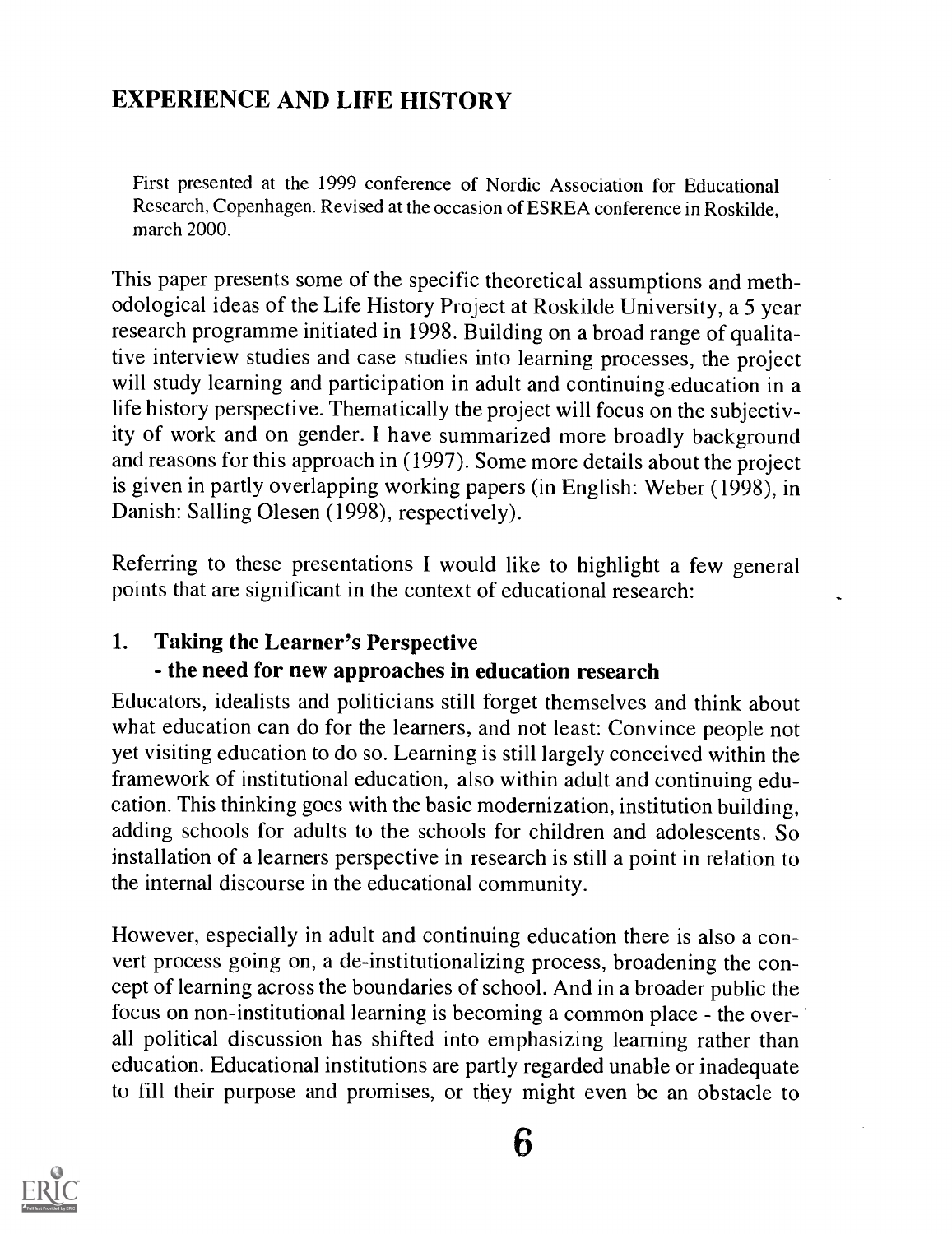### EXPERIENCE AND LIFE HISTORY

First presented at the 1999 conference of Nordic Association for Educational Research, Copenhagen. Revised at the occasion of ESREA conference in Roskilde, march 2000.

This paper presents some of the specific theoretical assumptions and methodological ideas of the Life History Project at Roskilde University, a 5 year research programme initiated in 1998. Building on a broad range of qualitative interview studies and case studies into learning processes, the project will study learning and participation in adult and continuing education in a life history perspective. Thematically the project will focus on the subjectivity of work and on gender. I have summarized more broadly background and reasons for this approach in (1997). Some more details about the project is given in partly overlapping working papers (in English: Weber (1998), in Danish: Salling Olesen (1998), respectively).

Referring to these presentations I would like to highlight a few general points that are significant in the context of educational research:

#### 1. Taking the Learner's Perspective

#### - the need for new approaches in education research

Educators, idealists and politicians still forget themselves and think about what education can do for the learners, and not least: Convince people not yet visiting education to do so. Learning is still largely conceived within the framework of institutional education, also within adult and continuing education. This thinking goes with the basic modernization, institution building, adding schools for adults to the schools for children and adolescents. So installation of a learners perspective in research is still a point in relation to the internal discourse in the educational community.

However, especially in adult and continuing education there is also a convert process going on, a de-institutionalizing process, broadening the concept of learning across the boundaries of school. And in a broader public the focus on non-institutional learning is becoming a common place - the overall political discussion has shifted into emphasizing learning rather than education. Educational institutions are partly regarded unable or inadequate to fill their purpose and promises, or they might even be an obstacle to

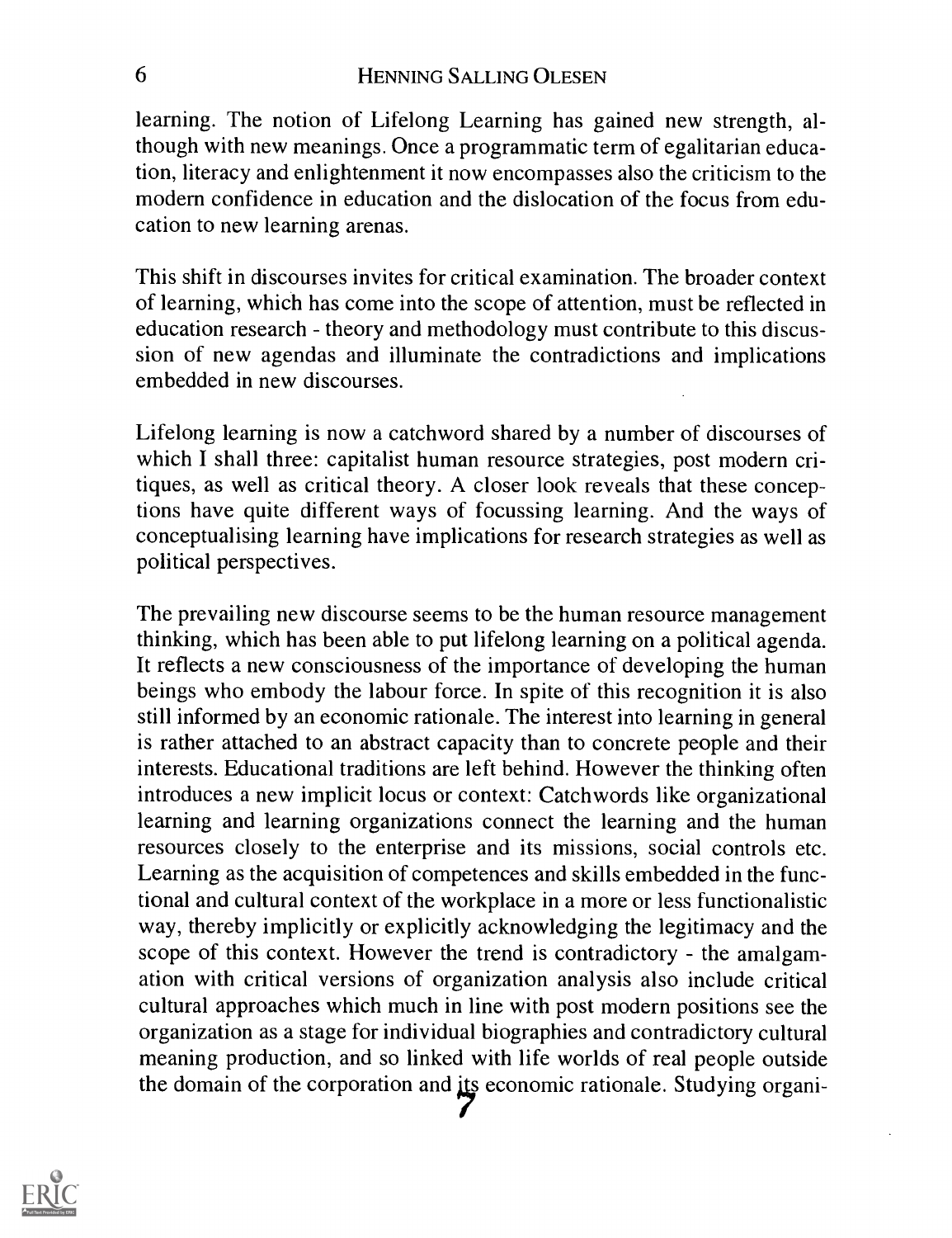learning. The notion of Lifelong Learning has gained new strength, although with new meanings. Once a programmatic term of egalitarian education, literacy and enlightenment it now encompasses also the criticism to the modern confidence in education and the dislocation of the focus from education to new learning arenas.

This shift in discourses invites for critical examination. The broader context of learning, which has come into the scope of attention, must be reflected in education research - theory and methodology must contribute to this discussion of new agendas and illuminate the contradictions and implications embedded in new discourses.

Lifelong learning is now a catchword shared by a number of discourses of which I shall three: capitalist human resource strategies, post modern critiques, as well as critical theory. A closer look reveals that these conceptions have quite different ways of focussing learning. And the ways of conceptualising learning have implications for research strategies as well as political perspectives.

The prevailing new discourse seems to be the human resource management thinking, which has been able to put lifelong learning on a political agenda. It reflects a new consciousness of the importance of developing the human beings who embody the labour force. In spite of this recognition it is also still informed by an economic rationale. The interest into learning in general is rather attached to an abstract capacity than to concrete people and their interests. Educational traditions are left behind. However the thinking often introduces a new implicit locus or context: Catchwords like organizational learning and learning organizations connect the learning and the human resources closely to the enterprise and its missions, social controls etc. Learning as the acquisition of competences and skills embedded in the functional and cultural context of the workplace in a more or less functionalistic way, thereby implicitly or explicitly acknowledging the legitimacy and the scope of this context. However the trend is contradictory - the amalgamation with critical versions of organization analysis also include critical cultural approaches which much in line with post modern positions see the organization as a stage for individual biographies and contradictory cultural meaning production, and so linked with life worlds of real people outside the domain of the corporation and its economic rationale. Studying organi-

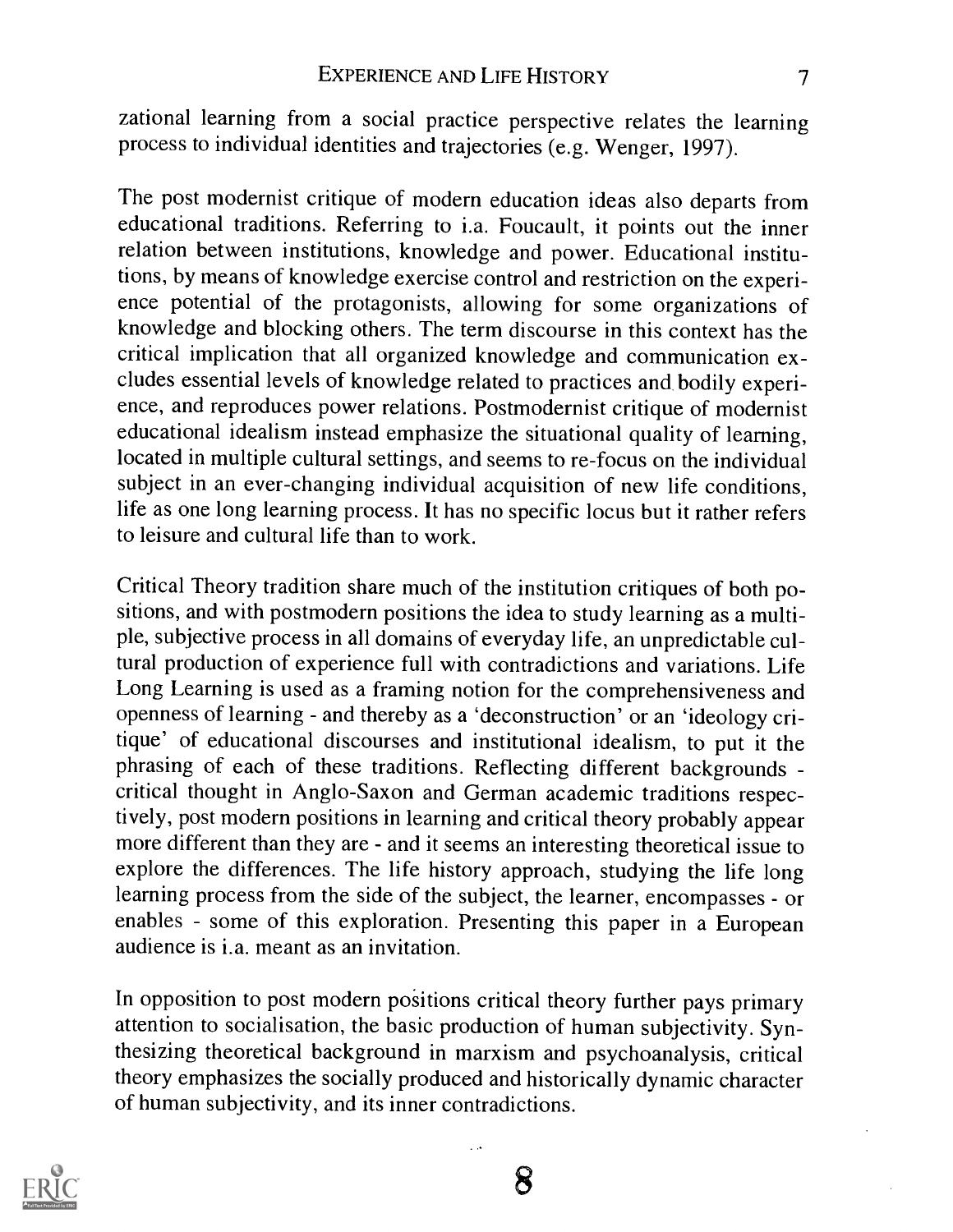zational learning from a social practice perspective relates the learning process to individual identities and trajectories (e.g. Wenger, 1997).

The post modernist critique of modern education ideas also departs from educational traditions. Referring to i.a. Foucault, it points out the inner relation between institutions, knowledge and power. Educational institutions, by means of knowledge exercise control and restriction on the experience potential of the protagonists, allowing for some organizations of knowledge and blocking others. The term discourse in this context has the critical implication that all organized knowledge and communication excludes essential levels of knowledge related to practices and bodily experience, and reproduces power relations. Postmodernist critique of modernist educational idealism instead emphasize the situational quality of learning, located in multiple cultural settings, and seems to re-focus on the individual subject in an ever-changing individual acquisition of new life conditions, life as one long learning process. It has no specific locus but it rather refers to leisure and cultural life than to work.

Critical Theory tradition share much of the institution critiques of both positions, and with postmodern positions the idea to study learning as a multiple, subjective process in all domains of everyday life, an unpredictable cultural production of experience full with contradictions and variations. Life Long Learning is used as a framing notion for the comprehensiveness and openness of learning - and thereby as a 'deconstruction' or an 'ideology critique' of educational discourses and institutional idealism, to put it the phrasing of each of these traditions. Reflecting different backgrounds critical thought in Anglo-Saxon and German academic traditions respectively, post modern positions in learning and critical theory probably appear more different than they are - and it seems an interesting theoretical issue to explore the differences. The life history approach, studying the life long learning process from the side of the subject, the learner, encompasses - or enables - some of this exploration. Presenting this paper in a European audience is i.a. meant as an invitation.

In opposition to post modern positions critical theory further pays primary attention to socialisation, the basic production of human subjectivity. Synthesizing theoretical background in marxism and psychoanalysis, critical theory emphasizes the socially produced and historically dynamic character of human subjectivity, and its inner contradictions.

لمراد

8

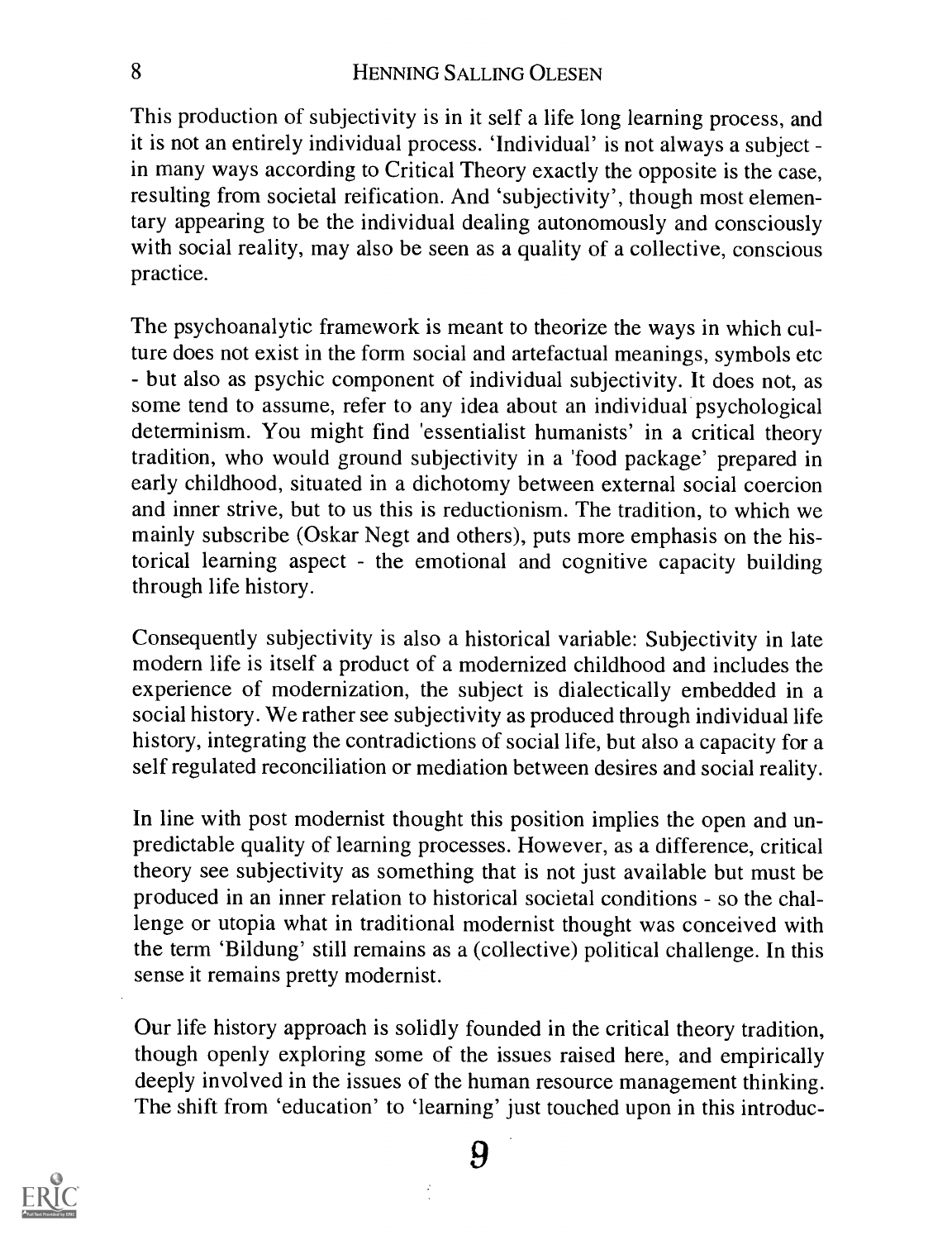This production of subjectivity is in it self a life long learning process, and it is not an entirely individual process. 'Individual' is not always a subject in many ways according to Critical Theory exactly the opposite is the case, resulting from societal reification. And 'subjectivity', though most elementary appearing to be the individual dealing autonomously and consciously with social reality, may also be seen as a quality of a collective, conscious practice.

The psychoanalytic framework is meant to theorize the ways in which culture does not exist in the form social and artefactual meanings, symbols etc but also as psychic component of individual subjectivity. It does not, as some tend to assume, refer to any idea about an individual psychological determinism. You might find 'essentialist humanists' in a critical theory tradition, who would ground subjectivity in a 'food package' prepared in early childhood, situated in a dichotomy between external social coercion and inner strive, but to us this is reductionism. The tradition, to which we mainly subscribe (Oskar Negt and others), puts more emphasis on the historical learning aspect - the emotional and cognitive capacity building through life history.

Consequently subjectivity is also a historical variable: Subjectivity in late modern life is itself a product of a modernized childhood and includes the experience of modernization, the subject is dialectically embedded in a social history. We rather see subjectivity as produced through individual life history, integrating the contradictions of social life, but also a capacity for a self regulated reconciliation or mediation between desires and social reality.

In line with post modernist thought this position implies the open and unpredictable quality of learning processes. However, as a difference, critical theory see subjectivity as something that is not just available but must be produced in an inner relation to historical societal conditions - so the challenge or utopia what in traditional modernist thought was conceived with the term `Bildung' still remains as a (collective) political challenge. In this sense it remains pretty modernist.

Our life history approach is solidly founded in the critical theory tradition, though openly exploring some of the issues raised here, and empirically deeply involved in the issues of the human resource management thinking. The shift from 'education' to 'learning' just touched upon in this introduc-

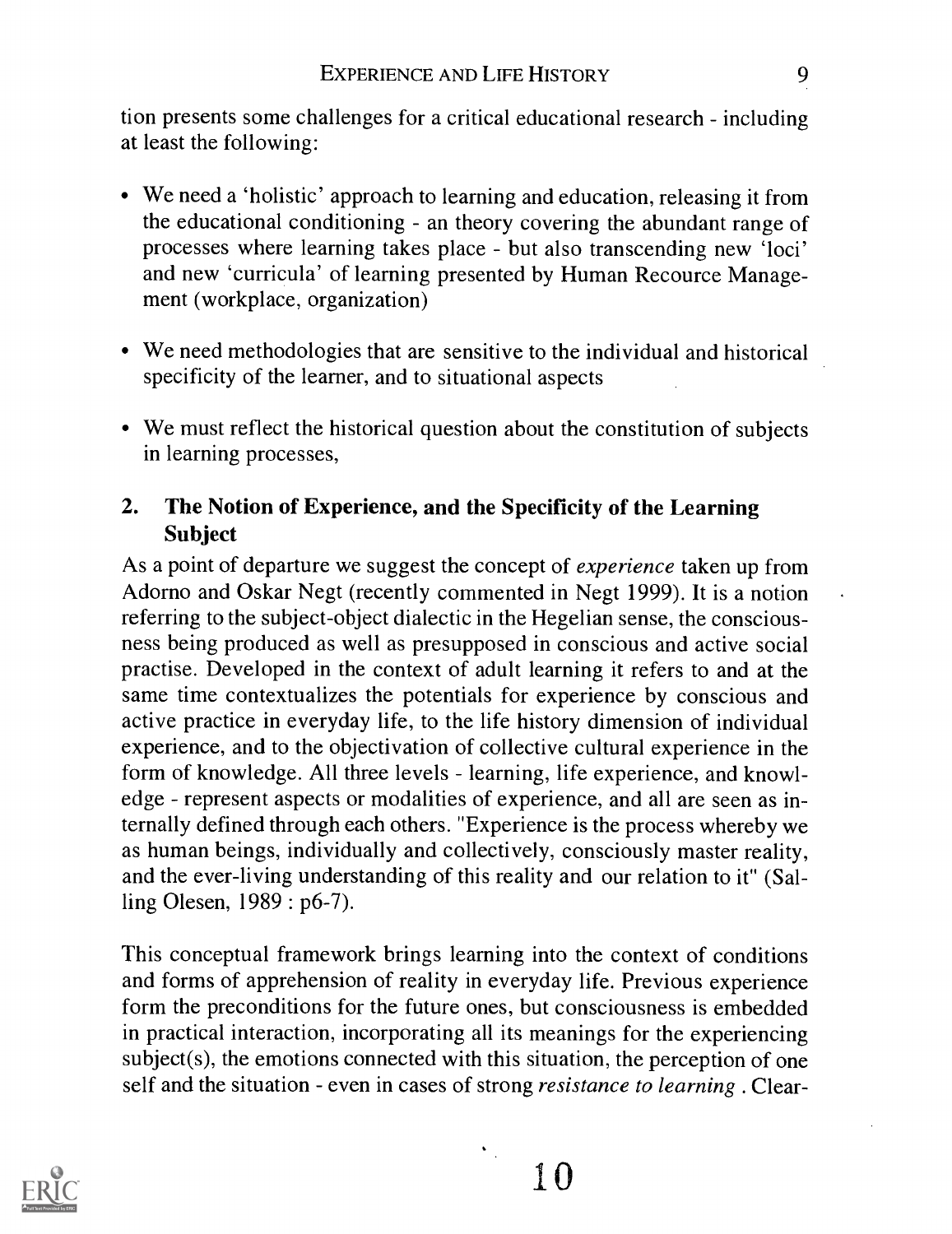tion presents some challenges for a critical educational research - including at least the following:

- We need a 'holistic' approach to learning and education, releasing it from the educational conditioning - an theory covering the abundant range of processes where learning takes place - but also transcending new 'loci' and new 'curricula' of learning presented by Human Recource Management (workplace, organization)
- We need methodologies that are sensitive to the individual and historical specificity of the learner, and to situational aspects
- We must reflect the historical question about the constitution of subjects in learning processes,

#### 2. The Notion of Experience, and the Specificity of the Learning Subject

As a point of departure we suggest the concept of *experience* taken up from Adorno and Oskar Negt (recently commented in Negt 1999). It is a notion referring to the subject-object dialectic in the Hegelian sense, the consciousness being produced as well as presupposed in conscious and active social practise. Developed in the context of adult learning it refers to and at the same time contextualizes the potentials for experience by conscious and active practice in everyday life, to the life history dimension of individual experience, and to the objectivation of collective cultural experience in the form of knowledge. All three levels - learning, life experience, and knowledge - represent aspects or modalities of experience, and all are seen as internally defined through each others. "Experience is the process whereby we as human beings, individually and collectively, consciously master reality, and the ever-living understanding of this reality and our relation to it" (Salling Olesen, 1989: p6-7).

This conceptual framework brings learning into the context of conditions and forms of apprehension of reality in everyday life. Previous experience form the preconditions for the future ones, but consciousness is embedded in practical interaction, incorporating all its meanings for the experiencing subject(s), the emotions connected with this situation, the perception of one self and the situation - even in cases of strong *resistance to learning*. Clear-

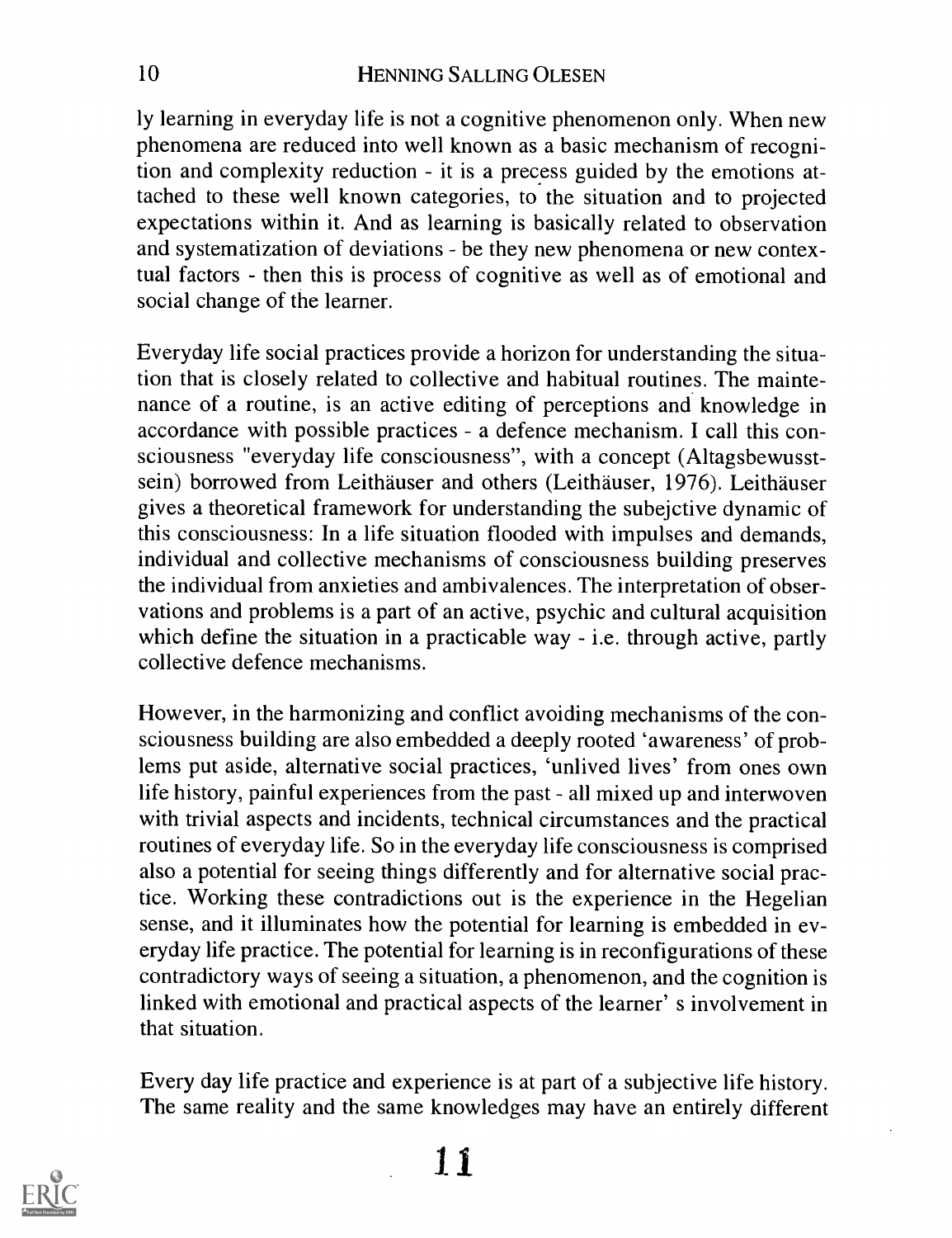ly learning in everyday life is not a cognitive phenomenon only. When new phenomena are reduced into well known as a basic mechanism of recognition and complexity reduction - it is a precess guided by the emotions attached to these well known categories, to the situation and to projected expectations within it. And as learning is basically related to observation and systematization of deviations - be they new phenomena or new contextual factors - then this is process of cognitive as well as of emotional and social change of the learner.

Everyday life social practices provide a horizon for understanding the situation that is closely related to collective and habitual routines. The maintenance of a routine, is an active editing of perceptions and knowledge in accordance with possible practices - a defence mechanism. I call this consciousness "everyday life consciousness", with a concept (Altagsbewusstsein) borrowed from Leithäuser and others (Leithäuser, 1976). Leithäuser gives a theoretical framework for understanding the subejctive dynamic of this consciousness: In a life situation flooded with impulses and demands, individual and collective mechanisms of consciousness building preserves the individual from anxieties and ambivalences. The interpretation of observations and problems is a part of an active, psychic and cultural acquisition which define the situation in a practicable way  $-$  i.e. through active, partly collective defence mechanisms.

However, in the harmonizing and conflict avoiding mechanisms of the consciousness building are also embedded a deeply rooted 'awareness' of problems put aside, alternative social practices, `unlived lives' from ones own life history, painful experiences from the past - all mixed up and interwoven with trivial aspects and incidents, technical circumstances and the practical routines of everyday life. So in the everyday life consciousness is comprised also a potential for seeing things differently and for alternative social practice. Working these contradictions out is the experience in the Hegelian sense, and it illuminates how the potential for learning is embedded in everyday life practice. The potential for learning is in reconfigurations of these contradictory ways of seeing a situation, a phenomenon, and the cognition is linked with emotional and practical aspects of the learner' s involvement in that situation.

Every day life practice and experience is at part of a subjective life history. The same reality and the same knowledges may have an entirely different

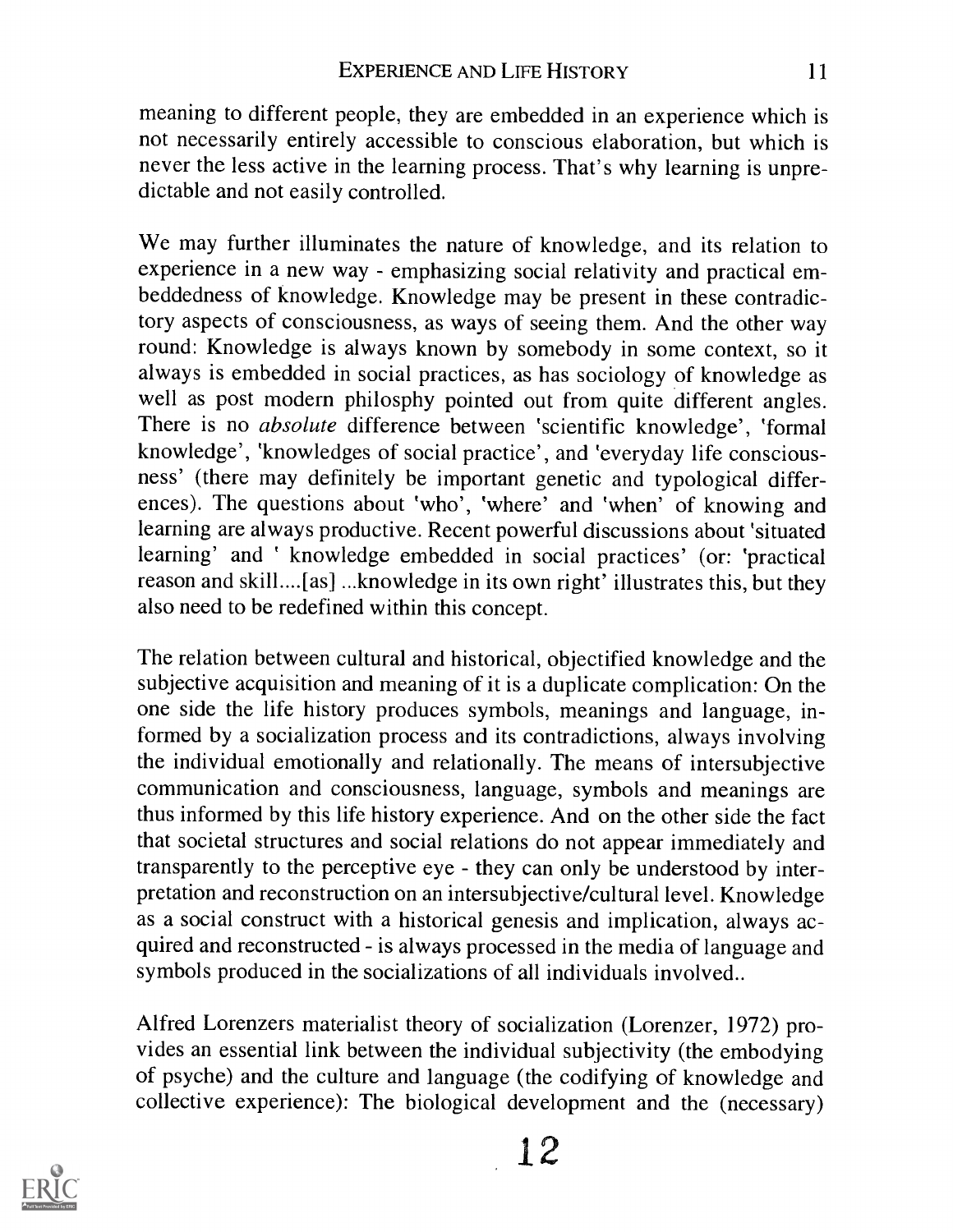meaning to different people, they are embedded in an experience which is not necessarily entirely accessible to conscious elaboration, but which is never the less active in the learning process. That's why learning is unpredictable and not easily controlled.

We may further illuminates the nature of knowledge, and its relation to experience in a new way - emphasizing social relativity and practical embeddedness of knowledge. Knowledge may be present in these contradictory aspects of consciousness, as ways of seeing them. And the other way round: Knowledge is always known by somebody in some context, so it always is embedded in social practices, as has sociology of knowledge as well as post modern philosphy pointed out from quite different angles. There is no absolute difference between 'scientific knowledge', 'formal knowledge', 'know ledges of social practice', and 'everyday life consciousness' (there may definitely be important genetic and typological differences). The questions about 'who', 'where' and 'when' of knowing and learning are always productive. Recent powerful discussions about 'situated learning' and 'knowledge embedded in social practices' (or: 'practical reason and skill....[as] ...knowledge in its own right' illustrates this, but they also need to be redefined within this concept.

The relation between cultural and historical, objectified knowledge and the subjective acquisition and meaning of it is a duplicate complication: On the one side the life history produces symbols, meanings and language, informed by a socialization process and its contradictions, always involving the individual emotionally and relationally. The means of intersubjective communication and consciousness, language, symbols and meanings are thus informed by this life history experience. And on the other side the fact that societal structures and social relations do not appear immediately and transparently to the perceptive eye - they can only be understood by interpretation and reconstruction on an intersubjective/cultural level. Knowledge as a social construct with a historical genesis and implication, always acquired and reconstructed - is always processed in the media of language and symbols produced in the socializations of all individuals involved..

Alfred Lorenzers materialist theory of socialization (Lorenzer, 1972) provides an essential link between the individual subjectivity (the embodying of psyche) and the culture and language (the codifying of knowledge and collective experience): The biological development and the (necessary)

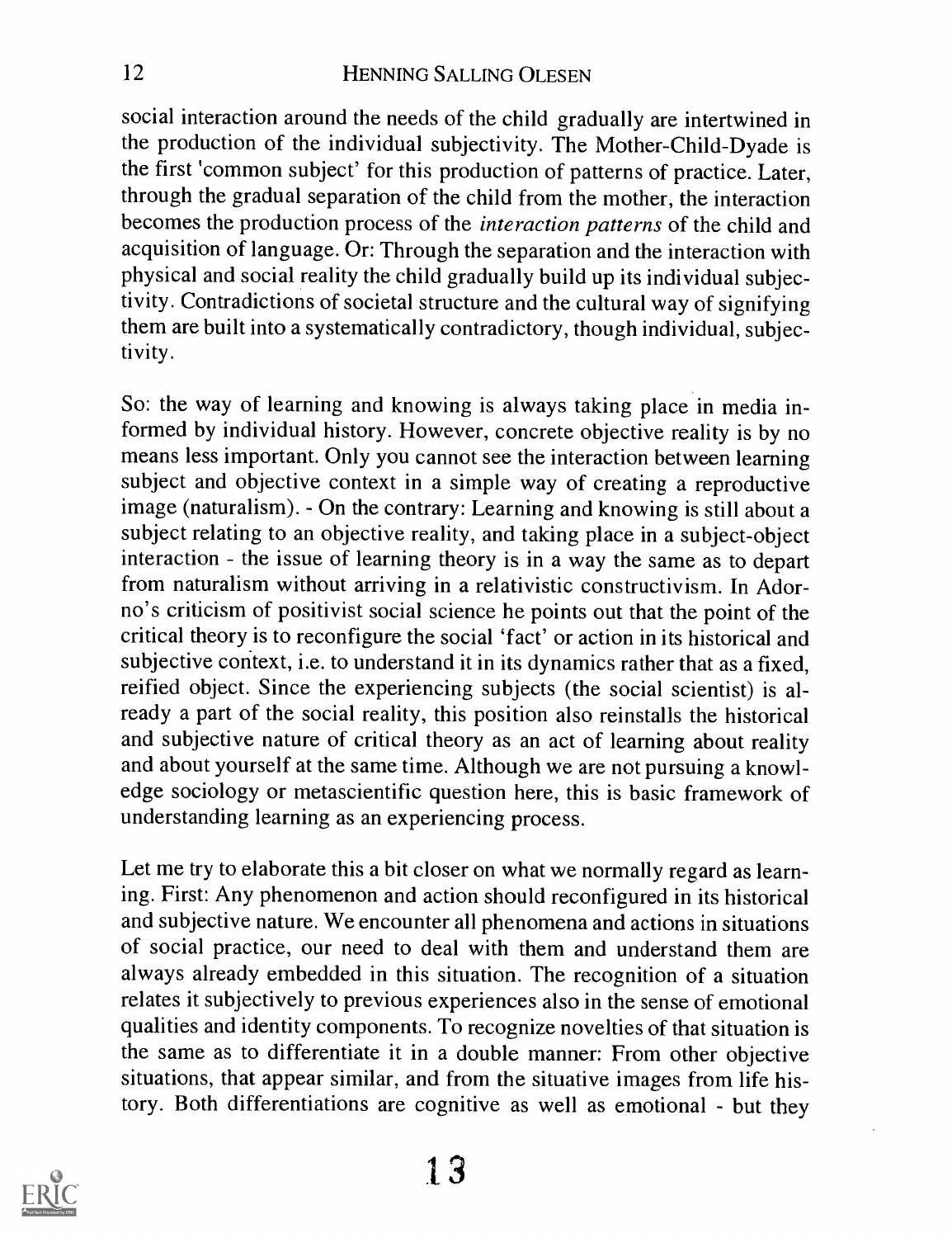social interaction around the needs of the child gradually are intertwined in the production of the individual subjectivity. The Mother-Child-Dyade is the first 'common subject' for this production of patterns of practice. Later, through the gradual separation of the child from the mother, the interaction becomes the production process of the interaction patterns of the child and acquisition of language. Or: Through the separation and the interaction with physical and social reality the child gradually build up its individual subjectivity. Contradictions of societal structure and the cultural way of signifying them are built into a systematically contradictory, though individual, subjectivity.

So: the way of learning and knowing is always taking place in media informed by individual history. However, concrete objective reality is by no means less important. Only you cannot see the interaction between learning subject and objective context in a simple way of creating a reproductive image (naturalism). - On the contrary: Learning and knowing is still about a subject relating to an objective reality, and taking place in a subject-object interaction - the issue of learning theory is in a way the same as to depart from naturalism without arriving in a relativistic constructivism. In Adorno's criticism of positivist social science he points out that the point of the critical theory is to reconfigure the social 'fact' or action in its historical and subjective context, i.e. to understand it in its dynamics rather that as a fixed, reified object. Since the experiencing subjects (the social scientist) is already a part of the social reality, this position also reinstalls the historical and subjective nature of critical theory as an act of learning about reality and about yourself at the same time. Although we are not pursuing a knowledge sociology or metascientific question here, this is basic framework of understanding learning as an experiencing process.

Let me try to elaborate this a bit closer on what we normally regard as learning. First: Any phenomenon and action should reconfigured in its historical and subjective nature. We encounter all phenomena and actions in situations of social practice, our need to deal with them and understand them are always already embedded in this situation. The recognition of a situation relates it subjectively to previous experiences also in the sense of emotional qualities and identity components. To recognize novelties of that situation is the same as to differentiate it in a double manner: From other objective situations, that appear similar, and from the situative images from life history. Both differentiations are cognitive as well as emotional - but they

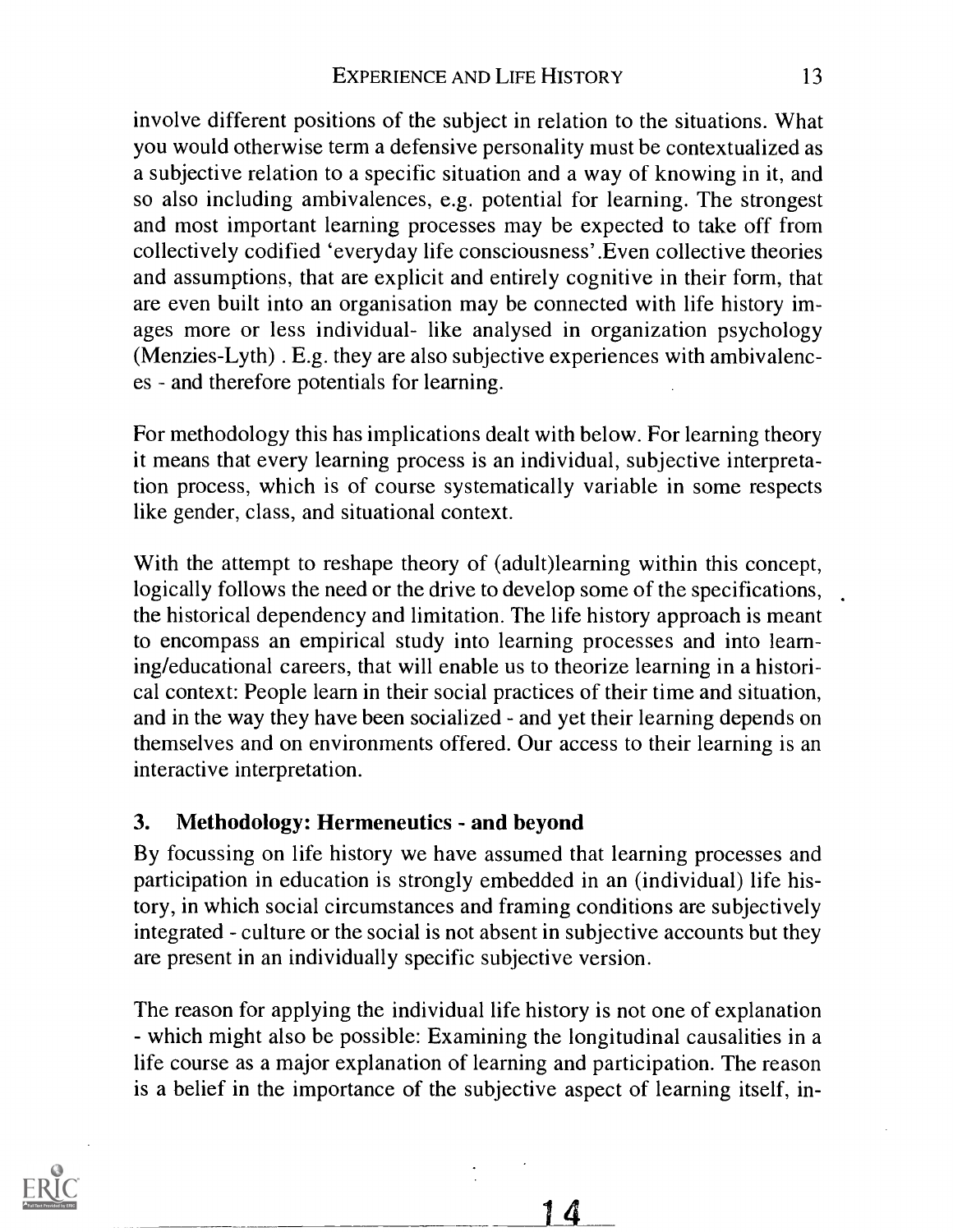involve different positions of the subject in relation to the situations. What you would otherwise term a defensive personality must be contextualized as a subjective relation to a specific situation and a way of knowing in it, and so also including ambivalences, e.g. potential for learning. The strongest and most important learning processes may be expected to take off from collectively codified 'everyday life consciousness' .Even collective theories and assumptions, that are explicit and entirely cognitive in their form, that are even built into an organisation may be connected with life history images more or less individual- like analysed in organization psychology (Menzies-Lyth) . E.g. they are also subjective experiences with ambivalences - and therefore potentials for learning.

For methodology this has implications dealt with below. For learning theory it means that every learning process is an individual, subjective interpretation process, which is of course systematically variable in some respects like gender, class, and situational context.

With the attempt to reshape theory of (adult)learning within this concept, logically follows the need or the drive to develop some of the specifications, the historical dependency and limitation. The life history approach is meant to encompass an empirical study into learning processes and into learning/educational careers, that will enable us to theorize learning in a historical context: People learn in their social practices of their time and situation, and in the way they have been socialized - and yet their learning depends on themselves and on environments offered. Our access to their learning is an interactive interpretation.

#### 3. Methodology: Hermeneutics - and beyond

By focussing on life history we have assumed that learning processes and participation in education is strongly embedded in an (individual) life history, in which social circumstances and framing conditions are subjectively integrated - culture or the social is not absent in subjective accounts but they are present in an individually specific subjective version.

The reason for applying the individual life history is not one of explanation which might also be possible: Examining the longitudinal causalities in a life course as a major explanation of learning and participation. The reason is a belief in the importance of the subjective aspect of learning itself, in-

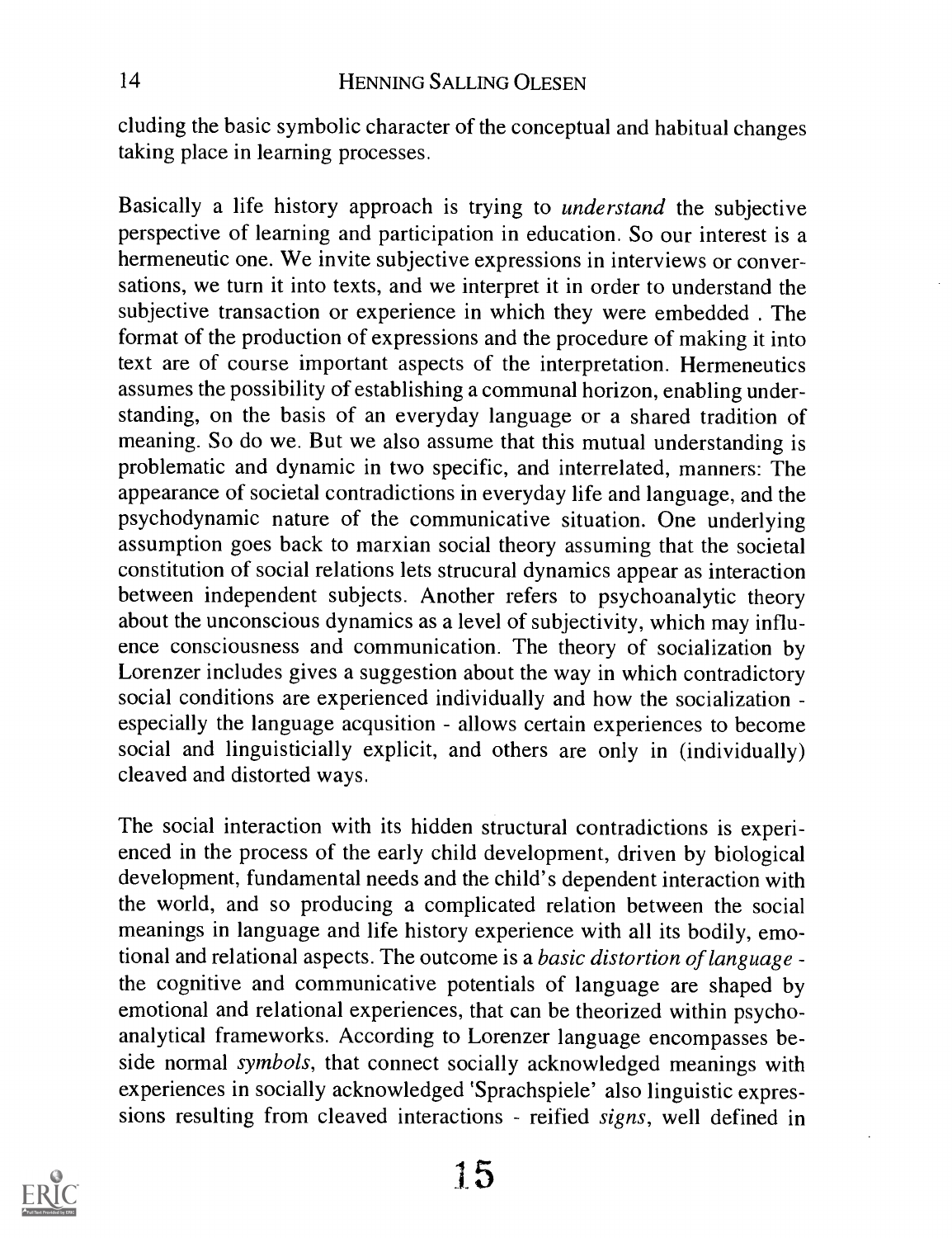eluding the basic symbolic character of the conceptual and habitual changes taking place in learning processes.

Basically a life history approach is trying to understand the subjective perspective of learning and participation in education. So our interest is a hermeneutic one. We invite subjective expressions in interviews or conversations, we turn it into texts, and we interpret it in order to understand the subjective transaction or experience in which they were embedded . The format of the production of expressions and the procedure of making it into text are of course important aspects of the interpretation. Hermeneutics assumes the possibility of establishing a communal horizon, enabling understanding, on the basis of an everyday language or a shared tradition of meaning. So do we. But we also assume that this mutual understanding is problematic and dynamic in two specific, and interrelated, manners: The appearance of societal contradictions in everyday life and language, and the psychodynamic nature of the communicative situation. One underlying assumption goes back to marxian social theory assuming that the societal constitution of social relations lets strucural dynamics appear as interaction between independent subjects. Another refers to psychoanalytic theory about the unconscious dynamics as a level of subjectivity, which may influence consciousness and communication. The theory of socialization by Lorenzer includes gives a suggestion about the way in which contradictory social conditions are experienced individually and how the socialization especially the language acqusition - allows certain experiences to become social and linguisticially explicit, and others are only in (individually) cleaved and distorted ways.

The social interaction with its hidden structural contradictions is experienced in the process of the early child development, driven by biological development, fundamental needs and the child's dependent interaction with the world, and so producing a complicated relation between the social meanings in language and life history experience with all its bodily, emotional and relational aspects. The outcome is a basic distortion of language the cognitive and communicative potentials of language are shaped by emotional and relational experiences, that can be theorized within psychoanalytical frameworks. According to Lorenzer language encompasses beside normal symbols, that connect socially acknowledged meanings with experiences in socially acknowledged `Sprachspiele' also linguistic expressions resulting from cleaved interactions - reified signs, well defined in

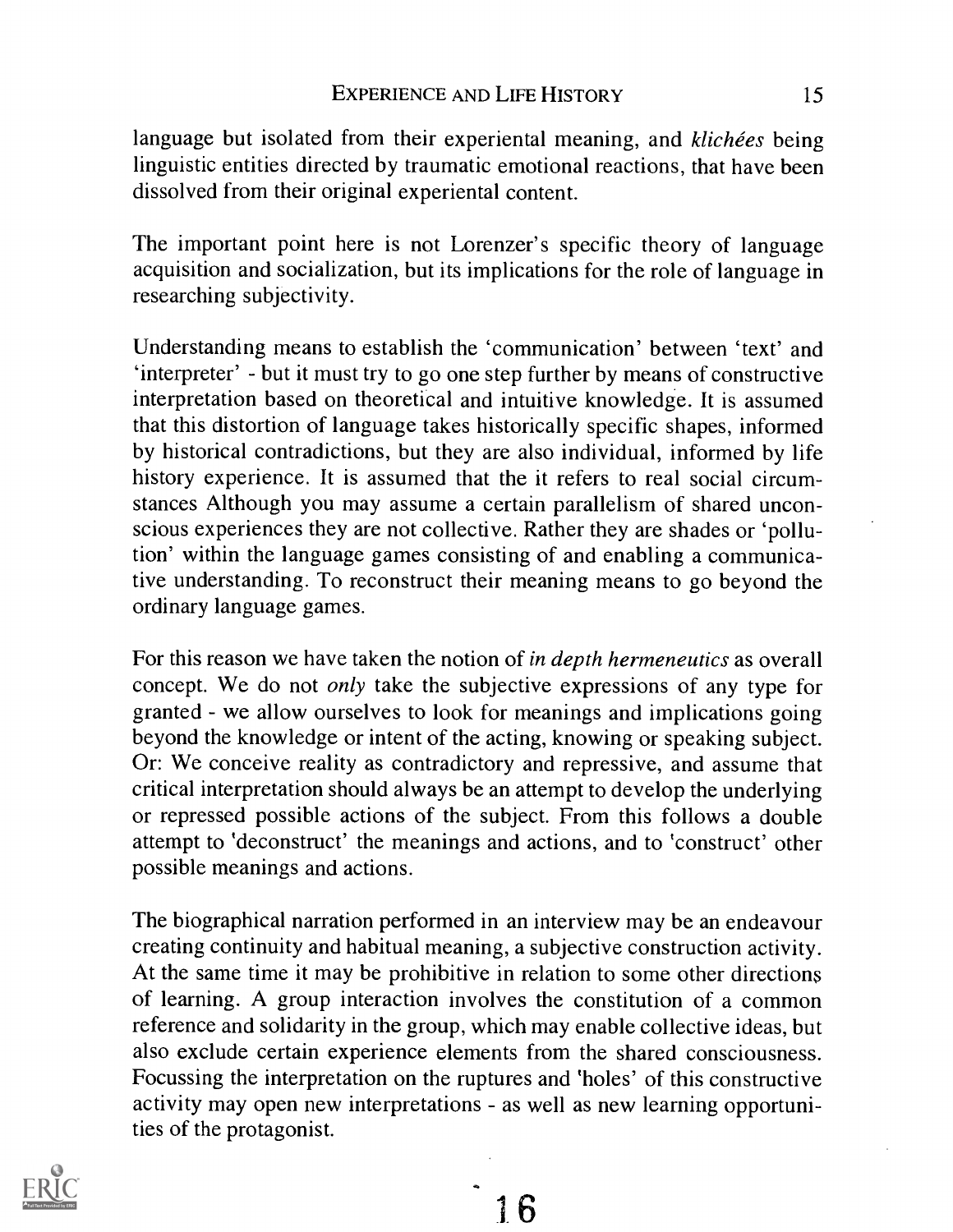language but isolated from their experiental meaning, and klichées being linguistic entities directed by traumatic emotional reactions, that have been dissolved from their original experiental content.

The important point here is not Lorenzer's specific theory of language acquisition and socialization, but its implications for the role of language in researching subjectivity.

Understanding means to establish the 'communication' between 'text' and 'interpreter' - but it must try to go one step further by means of constructive interpretation based on theoretical and intuitive knowledge. It is assumed that this distortion of language takes historically specific shapes, informed by historical contradictions, but they are also individual, informed by life history experience. It is assumed that the it refers to real social circumstances Although you may assume a certain parallelism of shared unconscious experiences they are not collective. Rather they are shades or 'pollution' within the language games consisting of and enabling a communicative understanding. To reconstruct their meaning means to go beyond the ordinary language games.

For this reason we have taken the notion of in depth hermeneutics as overall concept. We do not only take the subjective expressions of any type for granted - we allow ourselves to look for meanings and implications going beyond the knowledge or intent of the acting, knowing or speaking subject. Or: We conceive reality as contradictory and repressive, and assume that critical interpretation should always be an attempt to develop the underlying or repressed possible actions of the subject. From this follows a double attempt to 'deconstruct' the meanings and actions, and to 'construct' other possible meanings and actions.

The biographical narration performed in an interview may be an endeavour creating continuity and habitual meaning, a subjective construction activity. At the same time it may be prohibitive in relation to some other directions of learning. A group interaction involves the constitution of a common reference and solidarity in the group, which may enable collective ideas, but also exclude certain experience elements from the shared consciousness. Focussing the interpretation on the ruptures and 'holes' of this constructive activity may open new interpretations - as well as new learning opportunities of the protagonist.



6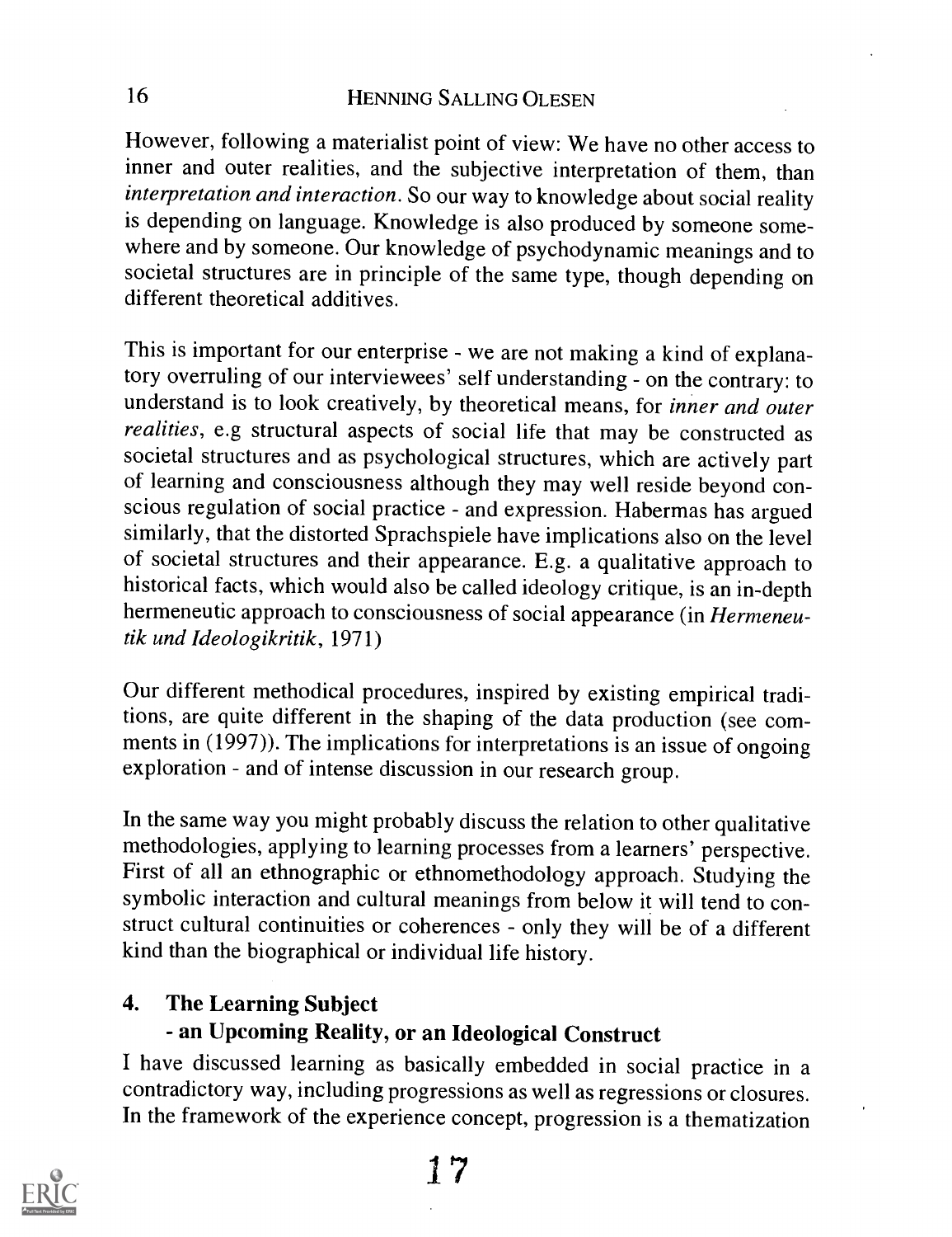However, following a materialist point of view: We have no other access to inner and outer realities, and the subjective interpretation of them, than interpretation and interaction. So our way to knowledge about social reality is depending on language. Knowledge is also produced by someone somewhere and by someone. Our knowledge of psychodynamic meanings and to societal structures are in principle of the same type, though depending on different theoretical additives.

This is important for our enterprise - we are not making a kind of explanatory overruling of our interviewees' self understanding - on the contrary: to understand is to look creatively, by theoretical means, for inner and outer realities, e.g structural aspects of social life that may be constructed as societal structures and as psychological structures, which are actively part of learning and consciousness although they may well reside beyond conscious regulation of social practice - and expression. Habermas has argued similarly, that the distorted Sprachspiele have implications also on the level of societal structures and their appearance. E.g. a qualitative approach to historical facts, which would also be called ideology critique, is an in-depth hermeneutic approach to consciousness of social appearance (in Hermeneutik and Ideologikritik, 1971)

Our different methodical procedures, inspired by existing empirical traditions, are quite different in the shaping of the data production (see comments in (1997)). The implications for interpretations is an issue of ongoing exploration - and of intense discussion in our research group.

In the same way you might probably discuss the relation to other qualitative methodologies, applying to learning processes from a learners' perspective. First of all an ethnographic or ethnomethodology approach. Studying the symbolic interaction and cultural meanings from below it will tend to construct cultural continuities or coherences - only they will be of a different kind than the biographical or individual life history.

#### 4. The Learning Subject

### - an Upcoming Reality, or an Ideological Construct

I have discussed learning as basically embedded in social practice in a contradictory way, including progressions as well as regressions or closures. In the framework of the experience concept, progression is a thematization

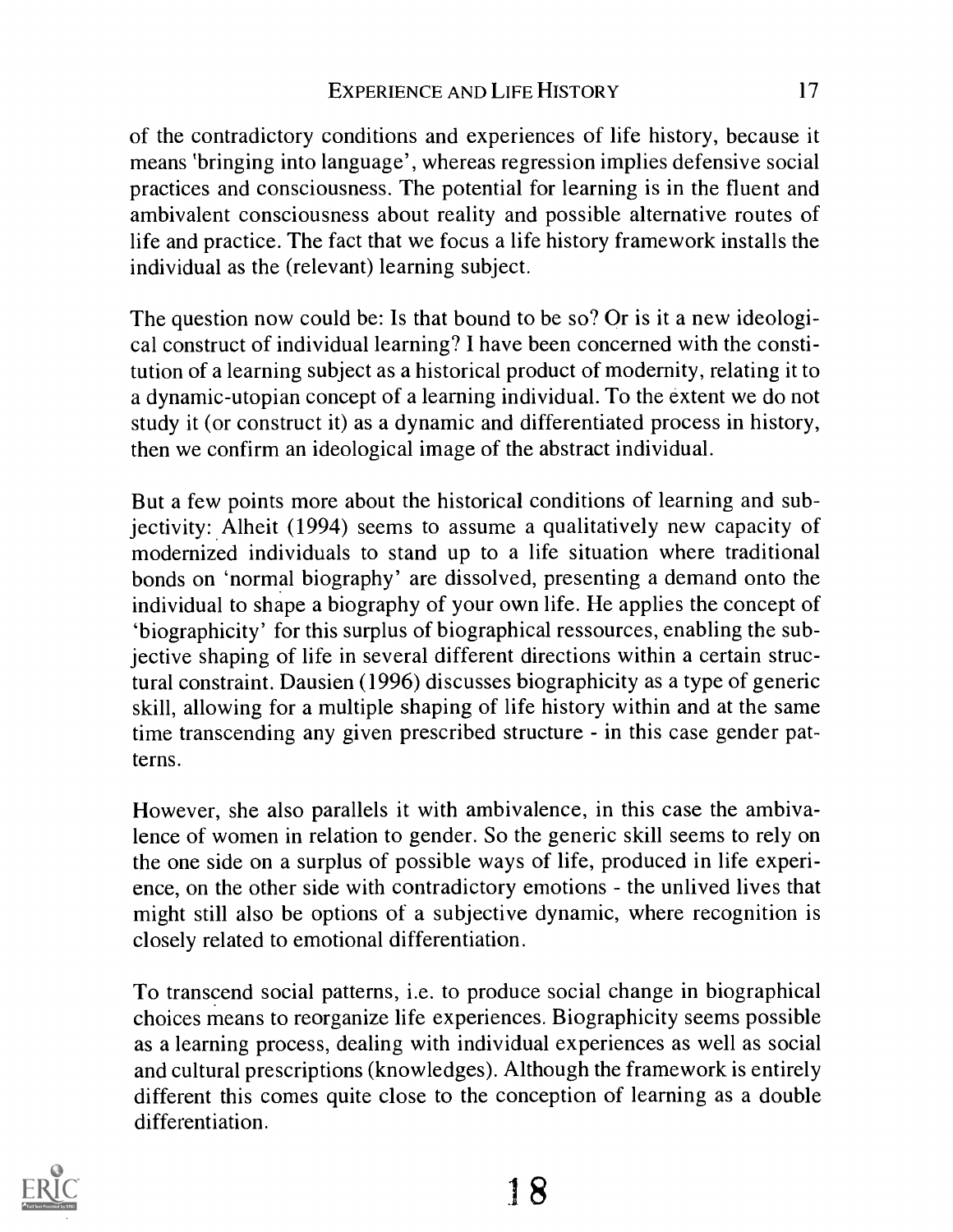of the contradictory conditions and experiences of life history, because it means 'bringing into language', whereas regression implies defensive social practices and consciousness. The potential for learning is in the fluent and ambivalent consciousness about reality and possible alternative routes of life and practice. The fact that we focus a life history framework installs the individual as the (relevant) learning subject.

The question now could be: Is that bound to be so? Or is it a new ideological construct of individual learning? I have been concerned with the constitution of a learning subject as a historical product of modernity, relating it to a dynamic-utopian concept of a learning individual. To the extent we do not study it (or construct it) as a dynamic and differentiated process in history, then we confirm an ideological image of the abstract individual.

But a few points more about the historical conditions of learning and subjectivity: Alheit (1994) seems to assume a qualitatively new capacity of modernized individuals to stand up to a life situation where traditional bonds on 'normal biography' are dissolved, presenting a demand onto the individual to shape a biography of your own life. He applies the concept of `biographicity' for this surplus of biographical ressources, enabling the subjective shaping of life in several different directions within a certain structural constraint. Dausien (1996) discusses biographicity as a type of generic skill, allowing for a multiple shaping of life history within and at the same time transcending any given prescribed structure - in this case gender patterns.

However, she also parallels it with ambivalence, in this case the ambivalence of women in relation to gender. So the generic skill seems to rely on the one side on a surplus of possible ways of life, produced in life experience, on the other side with contradictory emotions - the unlived lives that might still also be options of a subjective dynamic, where recognition is closely related to emotional differentiation.

To transcend social patterns, i.e. to produce social change in biographical choices means to reorganize life experiences. Biographicity seems possible as a learning process, dealing with individual experiences as well as social and cultural prescriptions (knowledges). Although the framework is entirely different this comes quite close to the conception of learning as a double differentiation.

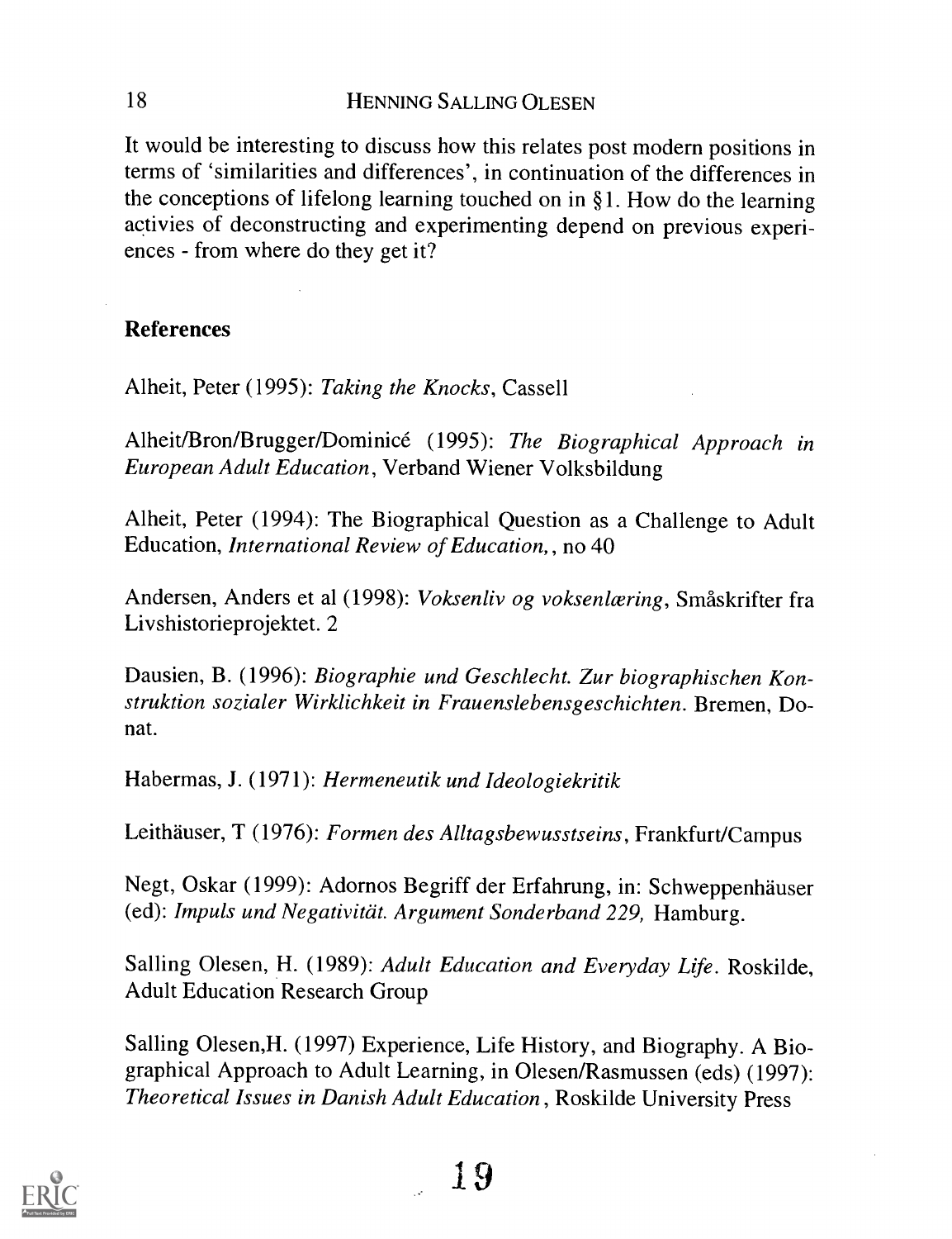It would be interesting to discuss how this relates post modern positions in terms of 'similarities and differences', in continuation of the differences in the conceptions of lifelong learning touched on in §1. How do the learning activies of deconstructing and experimenting depend on previous experiences - from where do they get it?

#### References

Alheit, Peter (1995): Taking the Knocks, Cassell

Alheit/Bron/Brugger/Dominice (1995): The Biographical Approach in European Adult Education, Verband Wiener Volksbildung

Alheit, Peter (1994): The Biographical Question as a Challenge to Adult Education, *International Review of Education*, no 40

Andersen, Anders et al (1998): Voksenliv og voksenlæring, Småskrifter fra Livshistorieprojektet. 2

Dausien, B. (1996): Biographie und Geschlecht. Zur biographischen Konstruktion sozialer Wirklichkeit in Frauenslebensgeschichten. Bremen, Donat.

Habermas, J. (1971): Hermeneutik und Ideologiekritik

Leithauser, T (1976): Formen des Alltagsbewusstseins, Frankfurt/Campus

Negt, Oskar (1999): Adornos Begriff der Erfahrung, in: Schweppenhäuser (ed): Impuls und Negativität. Argument Sonderband 229, Hamburg.

Salling Olesen, H. (1989): Adult Education and Everyday Life. Roskilde, Adult Education Research Group

Salling Olesen, H. (1997) Experience, Life History, and Biography. A Biographical Approach to Adult Learning, in Olesen/Rasmussen (eds) (1997): Theoretical Issues in Danish Adult Education, Roskilde University Press

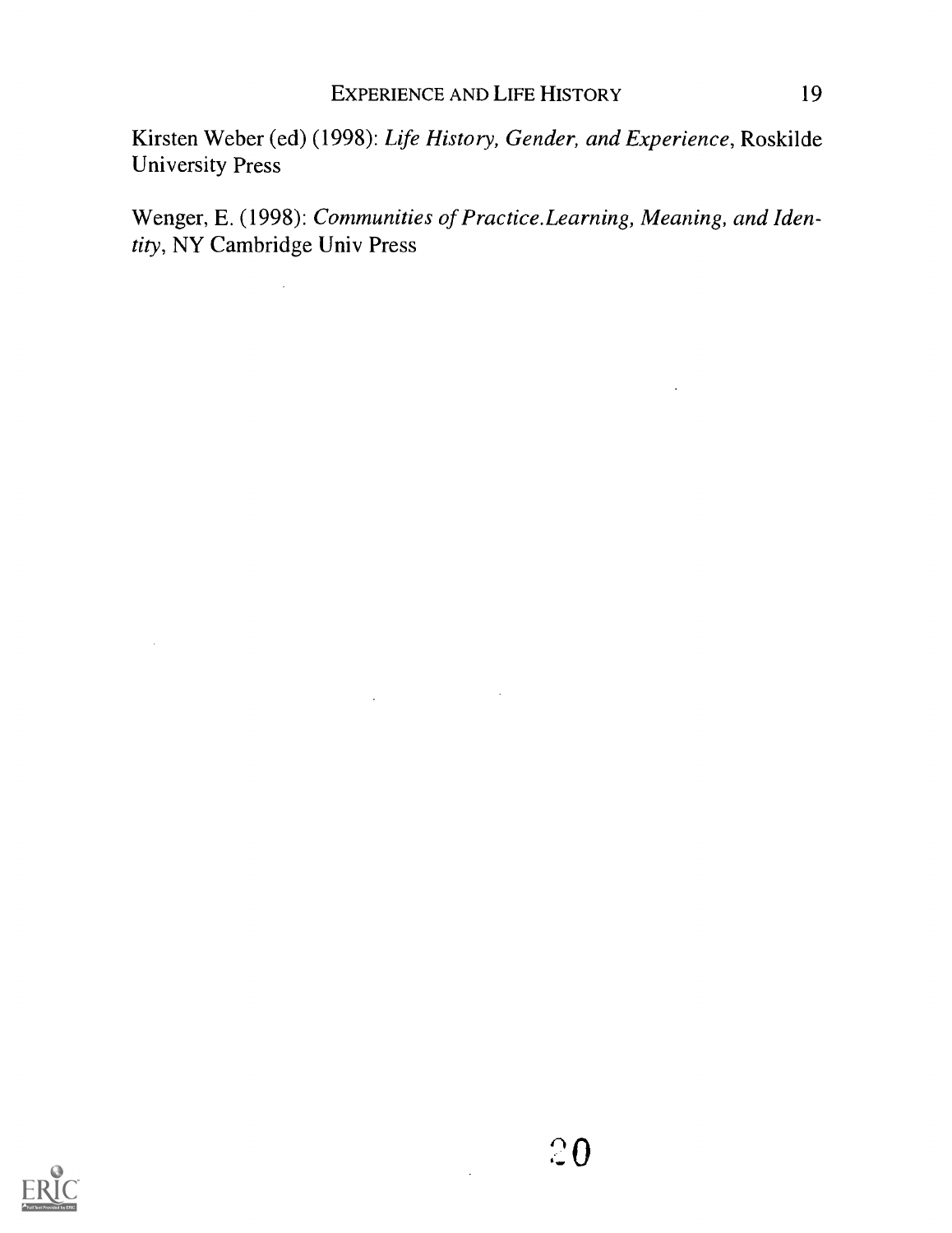Kirsten Weber (ed) (1998): Life History, Gender, and Experience, Roskilde University Press

Wenger, E. (1998): Communities of Practice.Learning, Meaning, and Identity, NY Cambridge Univ Press

 $\sim 10$ 

 $\Delta \sim 10^4$ 

 $\mathcal{A}$ 

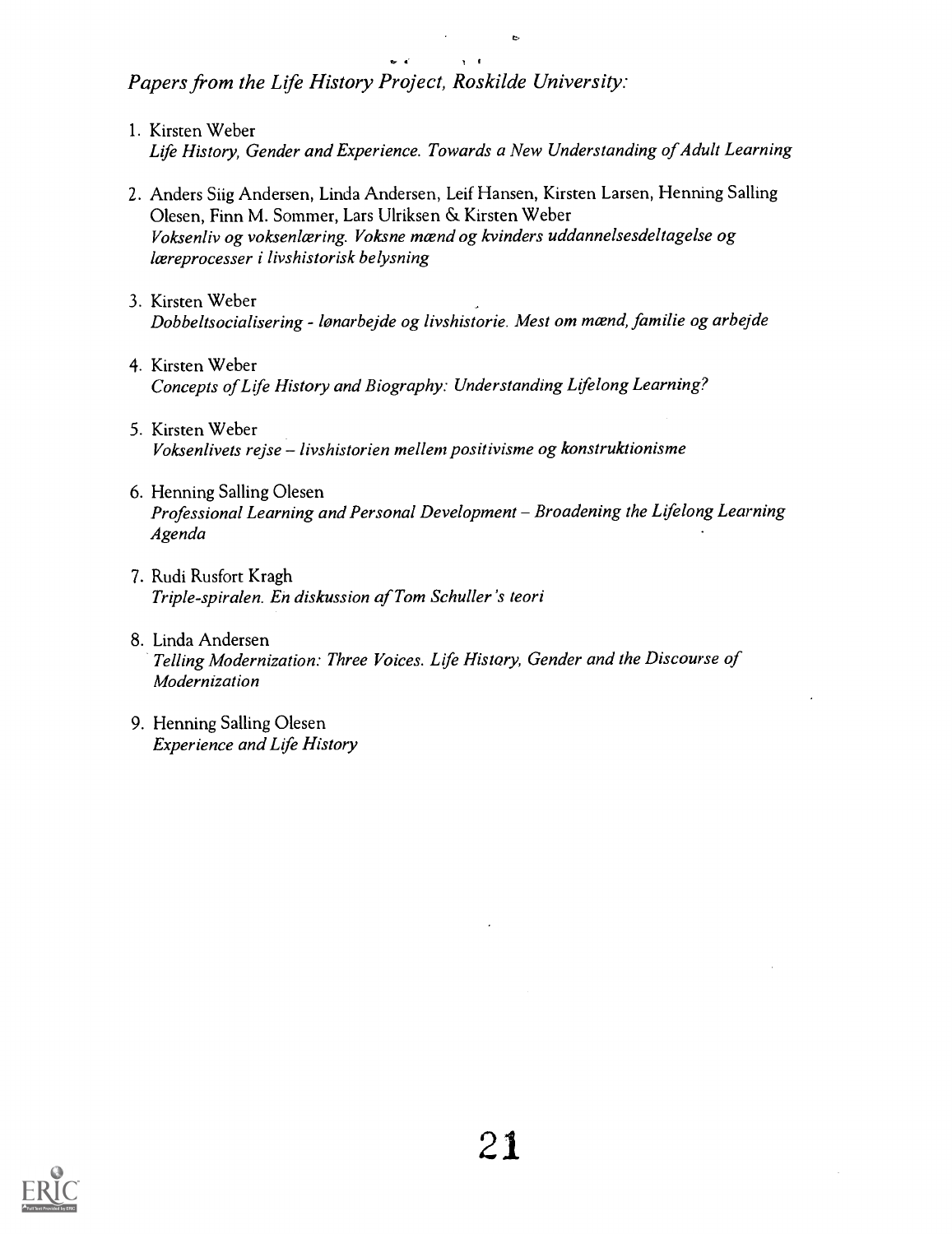Papers from the Life History Project, Roskilde University:

- 1. Kirsten Weber Life History, Gender and Experience. Towards a New Understanding of Adult Learning
- 2. Anders Siig Andersen, Linda Andersen, Leif Hansen, Kirsten Larsen, Henning Salling Olesen, Finn M. Sommer, Lars Ulriksen & Kirsten Weber Voksenliv og voksenlæring. Voksne mænd og kvinders uddannelsesdeltagelse og læreprocesser i livshistorisk belysning
- 3. Kirsten Weber Dobbeltsocialisering - lønarbejde og livshistorie. Mest om mænd, familie og arbejde
- 4. Kirsten Weber Concepts of Life History and Biography: Understanding Lifelong Learning?
- 5. Kirsten Weber Voksenlivets rejse - livshistorien mellem positivisme og konstruktionisme
- 6. Henning Salling Olesen Professional Learning and Personal Development - Broadening the Lifelong Learning Agenda
- 7. Rudi Rusfort Kragh Triple-spiralen. En diskussion of Tom Schuller 's teori
- 8. Linda Andersen Telling Modernization: Three Voices. Life History, Gender and the Discourse of Modernization
- 9. Henning Salling Olesen Experience and Life History

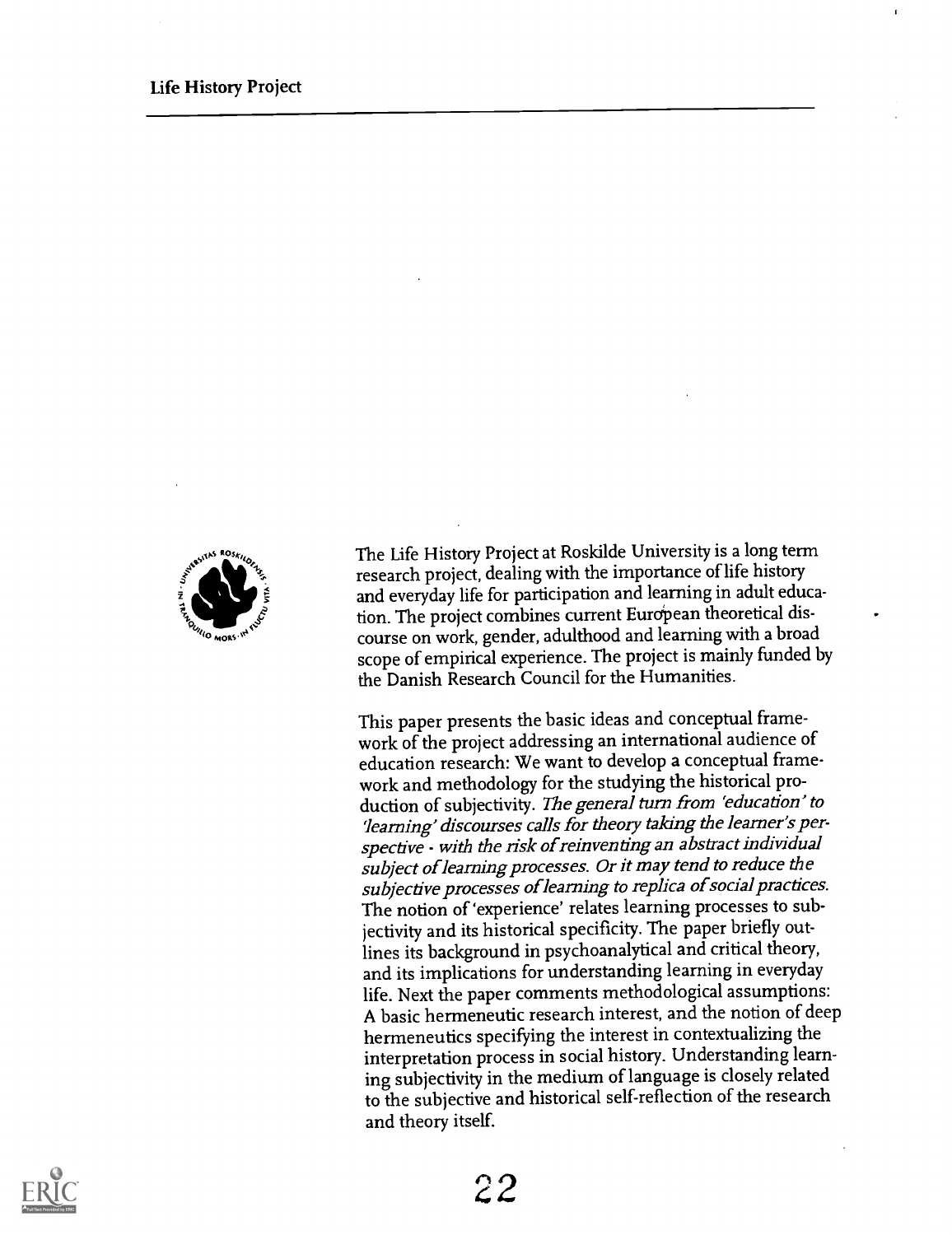

The Life History Project at Roskilde University is a long term research project, dealing with the importance of life history and everyday life for participation and learning in adult education. The project combines current European theoretical discourse on work, gender, adulthood and learning with a broad scope of empirical experience. The project is mainly funded by the Danish Research Council for the Humanities.

This paper presents the basic ideas and conceptual framework of the project addressing an international audience of education research: We want to develop a conceptual framework and methodology for the studying the historical production of subjectivity. The general turn from 'education' to `learning' discourses calls for theory taking the learner's perspective - with the risk of reinventing an abstract individual subject of learning processes. Or it may tend to reduce the subjective processes of learning to replica of social practices. The notion of 'experience' relates learning processes to subjectivity and its historical specificity. The paper briefly outlines its background in psychoanalytical and critical theory, and its implications for understanding learning in everyday life. Next the paper comments methodological assumptions: A basic hermeneutic research interest, and the notion of deep hermeneutics specifying the interest in contextualizing the interpretation process in social history. Understanding learning subjectivity in the medium of language is closely related to the subjective and historical self-reflection of the research and theory itself.

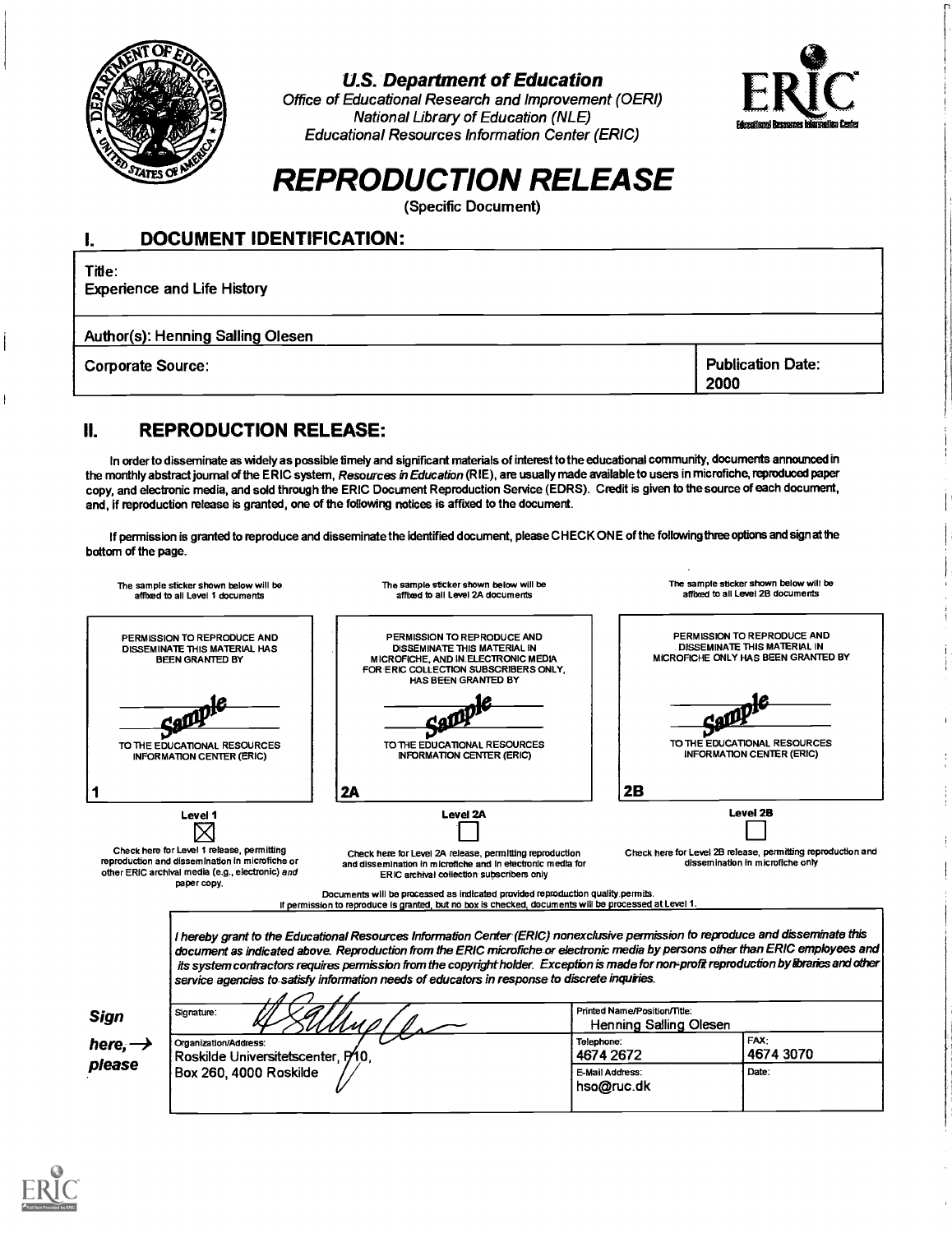

#### U.S. Department of Education

Office of Educational Research and Improvement (OERI) National Library of Education (NLE) Educational Resources Information Center (ERIC)



## REPRODUCTION RELEASE

(Specific Document)

| <b>DOCUMENT IDENTIFICATION:</b>              |                                  |  |  |  |  |
|----------------------------------------------|----------------------------------|--|--|--|--|
| Title:<br><b>Experience and Life History</b> |                                  |  |  |  |  |
| Author(s): Henning Salling Olesen            |                                  |  |  |  |  |
| <b>Corporate Source:</b>                     | <b>Publication Date:</b><br>2000 |  |  |  |  |

#### II. REPRODUCTION RELEASE:

In order to disseminate as widely as possible timely and significant materials of interest to the educational community, documents announced in the monthly abstract journal of the ERIC system, Resources in Education (RIE), are usually made available to users in microfiche, reproduced paper copy, and electronic media, and sold through the ERIC Document Reproduction Service (EDRS). Credit is given to the source of each document, and, if reproduction release is granted, one of the following notices is affixed to the document.

If permission is granted to reproduce and disseminate the identified document, please CHECK ONE of the following three options and sign at the bottom of the page.

| The sample sticker shown below will be<br>affixed to all Level 1 documents                                                                                                                                                                                                                                                                                                                                                    |                                                                                                                                                                                                                                                                                                                                                                                                                                                                                                                 | The sample sticker shown below will be<br>affixed to all Level 2A documents                                                                                                              |                                                          | The sample sticker shown below will be<br>affixed to all Level 2B documents                               |  |  |
|-------------------------------------------------------------------------------------------------------------------------------------------------------------------------------------------------------------------------------------------------------------------------------------------------------------------------------------------------------------------------------------------------------------------------------|-----------------------------------------------------------------------------------------------------------------------------------------------------------------------------------------------------------------------------------------------------------------------------------------------------------------------------------------------------------------------------------------------------------------------------------------------------------------------------------------------------------------|------------------------------------------------------------------------------------------------------------------------------------------------------------------------------------------|----------------------------------------------------------|-----------------------------------------------------------------------------------------------------------|--|--|
| PERMISSION TO REPRODUCE AND<br>DISSEMINATE THIS MATERIAL HAS<br><b>BEEN GRANTED BY</b>                                                                                                                                                                                                                                                                                                                                        |                                                                                                                                                                                                                                                                                                                                                                                                                                                                                                                 | PERMISSION TO REPRODUCE AND<br><b>DISSEMINATE THIS MATERIAL IN</b><br>MICROFICHE, AND IN ELECTRONIC MEDIA<br>FOR ERIC COLLECTION SUBSCRIBERS ONLY.<br>HAS BEEN GRANTED BY                |                                                          | PERMISSION TO REPRODUCE AND<br><b>DISSEMINATE THIS MATERIAL IN</b><br>MICROFICHE ONLY HAS BEEN GRANTED BY |  |  |
| TO THE EDUCATIONAL RESOURCES<br><b>INFORMATION CENTER (ERIC)</b>                                                                                                                                                                                                                                                                                                                                                              |                                                                                                                                                                                                                                                                                                                                                                                                                                                                                                                 | TO THE EDUCATIONAL RESOURCES<br>INFORMATION CENTER (ERIC)                                                                                                                                |                                                          | TO THE EDUCATIONAL RESOURCES<br><b>INFORMATION CENTER (ERIC)</b>                                          |  |  |
|                                                                                                                                                                                                                                                                                                                                                                                                                               |                                                                                                                                                                                                                                                                                                                                                                                                                                                                                                                 | 2A                                                                                                                                                                                       | 2B                                                       |                                                                                                           |  |  |
| Level 1                                                                                                                                                                                                                                                                                                                                                                                                                       |                                                                                                                                                                                                                                                                                                                                                                                                                                                                                                                 | <b>Level 2A</b>                                                                                                                                                                          |                                                          | <b>Level 2B</b>                                                                                           |  |  |
| Check here for Level 1 release, permitting<br>Check here for Level 2B release, permitting reproduction and<br>Check here for Level 2A release, permitting reproduction<br>reproduction and dissemination in microfiche or<br>dissemination in microfiche only<br>and dissemination in microfiche and in electronic media for<br>other ERIC archival media (e.g., electronic) and<br>ERIC archival collection subscribers only |                                                                                                                                                                                                                                                                                                                                                                                                                                                                                                                 |                                                                                                                                                                                          |                                                          |                                                                                                           |  |  |
|                                                                                                                                                                                                                                                                                                                                                                                                                               | paper copy.                                                                                                                                                                                                                                                                                                                                                                                                                                                                                                     | Documents will be processed as indicated provided reproduction quality permits.<br>If permission to reproduce is granted, but no box is checked, documents will be processed at Level 1. |                                                          |                                                                                                           |  |  |
|                                                                                                                                                                                                                                                                                                                                                                                                                               | I hereby grant to the Educational Resources Information Center (ERIC) nonexclusive permission to reproduce and disseminate this<br>document as indicated above. Reproduction from the ERIC microfiche or electronic media by persons other than ERIC employees and<br>its system contractors requires permission from the copyright holder. Exception is made for non-profit reproduction by Exaries and other<br>service agencies to satisfy information needs of educators in response to discrete inquiries. |                                                                                                                                                                                          |                                                          |                                                                                                           |  |  |
| <b>Sign</b>                                                                                                                                                                                                                                                                                                                                                                                                                   | Signature:                                                                                                                                                                                                                                                                                                                                                                                                                                                                                                      |                                                                                                                                                                                          | Printed Name/Position/Title:<br>Henning Salling Olesen   |                                                                                                           |  |  |
| here, $\rightarrow$<br>please                                                                                                                                                                                                                                                                                                                                                                                                 | Organization/Address:<br>Roskilde Universitetscenter, P10.<br>Box 260, 4000 Roskilde                                                                                                                                                                                                                                                                                                                                                                                                                            |                                                                                                                                                                                          | Telephone:<br>4674 2672<br>E-Mail Address:<br>hso@ruc.dk | FAX:<br>4674 3070<br>Date:                                                                                |  |  |